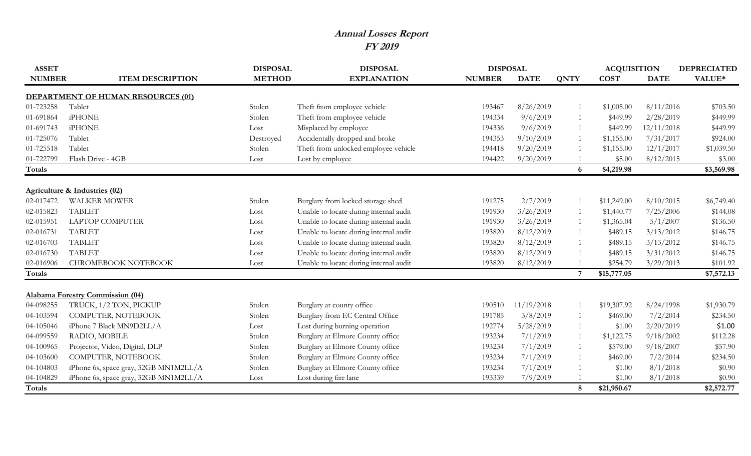## **Annual Losses Report FY 2019**

| <b>ASSET</b>  |                                           | <b>DISPOSAL</b> | <b>DISPOSAL</b>                        | <b>DISPOSAL</b> |             |                 | <b>ACQUISITION</b> |             | <b>DEPRECIATED</b> |
|---------------|-------------------------------------------|-----------------|----------------------------------------|-----------------|-------------|-----------------|--------------------|-------------|--------------------|
| <b>NUMBER</b> | <b>ITEM DESCRIPTION</b>                   | <b>METHOD</b>   | <b>EXPLANATION</b>                     | <b>NUMBER</b>   | <b>DATE</b> | <b>QNTY</b>     | <b>COST</b>        | <b>DATE</b> | VALUE*             |
|               | <b>DEPARTMENT OF HUMAN RESOURCES (01)</b> |                 |                                        |                 |             |                 |                    |             |                    |
| 01-723258     | Tablet                                    | Stolen          | Theft from employee vehicle            | 193467          | 8/26/2019   |                 | \$1,005.00         | 8/11/2016   | \$703.50           |
| 01-691864     | <b>iPHONE</b>                             | Stolen          | Theft from employee vehicle            | 194334          | 9/6/2019    |                 | \$449.99           | 2/28/2019   | \$449.99           |
| 01-691743     | <b>iPHONE</b>                             | Lost            | Misplaced by employee                  | 194336          | 9/6/2019    |                 | \$449.99           | 12/11/2018  | \$449.99           |
| 01-725076     | Tablet                                    | Destroyed       | Accidentally dropped and broke         | 194353          | 9/10/2019   |                 | \$1,155.00         | 7/31/2017   | \$924.00           |
| 01-725518     | Tablet                                    | Stolen          | Theft from unlocked employee vehicle   | 194418          | 9/20/2019   |                 | \$1,155.00         | 12/1/2017   | \$1,039.50         |
| 01-722799     | Flash Drive - 4GB                         | Lost            | Lost by employee                       | 194422          | 9/20/2019   |                 | \$5.00             | 8/12/2015   | \$3.00             |
| Totals        |                                           |                 |                                        |                 |             | 6               | \$4,219.98         |             | \$3,569.98         |
|               | <b>Agriculture &amp; Industries (02)</b>  |                 |                                        |                 |             |                 |                    |             |                    |
| 02-017472     | <b>WALKER MOWER</b>                       | Stolen          | Burglary from locked storage shed      | 191275          | 2/7/2019    |                 | \$11,249.00        | 8/10/2015   | \$6,749.40         |
| 02-015823     | <b>TABLET</b>                             | Lost            | Unable to locate during internal audit | 191930          | 3/26/2019   |                 | \$1,440.77         | 7/25/2006   | \$144.08           |
| 02-015951     | <b>LAPTOP COMPUTER</b>                    | Lost            | Unable to locate during internal audit | 191930          | 3/26/2019   |                 | \$1,365.04         | 5/1/2007    | \$136.50           |
| 02-016731     | <b>TABLET</b>                             | Lost            | Unable to locate during internal audit | 193820          | 8/12/2019   |                 | \$489.15           | 3/13/2012   | \$146.75           |
| 02-016703     | <b>TABLET</b>                             | Lost            | Unable to locate during internal audit | 193820          | 8/12/2019   |                 | \$489.15           | 3/13/2012   | \$146.75           |
| 02-016730     | <b>TABLET</b>                             | Lost            | Unable to locate during internal audit | 193820          | 8/12/2019   |                 | \$489.15           | 3/31/2012   | \$146.75           |
| 02-016906     | <b>CHROMEBOOK NOTEBOOK</b>                | Lost            | Unable to locate during internal audit | 193820          | 8/12/2019   |                 | \$254.79           | 3/29/2013   | \$101.92           |
| Totals        |                                           |                 |                                        |                 |             | $7\overline{ }$ | \$15,777.05        |             | \$7,572.13         |
|               | <b>Alabama Forestry Commission (04)</b>   |                 |                                        |                 |             |                 |                    |             |                    |
| 04-098255     | TRUCK, 1/2 TON, PICKUP                    | Stolen          | Burglary at county office              | 190510          | 11/19/2018  |                 | \$19,307.92        | 8/24/1998   | \$1,930.79         |
| 04-103594     | COMPUTER, NOTEBOOK                        | Stolen          | Burglary from EC Central Office        | 191785          | 3/8/2019    |                 | \$469.00           | 7/2/2014    | \$234.50           |
| 04-105046     | iPhone 7 Black MN9D2LL/A                  | Lost            | Lost during burning operation          | 192774          | 5/28/2019   |                 | \$1.00             | 2/20/2019   | \$1.00             |
| 04-099559     | RADIO, MOBILE                             | Stolen          | Burglary at Elmore County office       | 193234          | 7/1/2019    | 1               | \$1,122.75         | 9/18/2002   | \$112.28           |
| 04-100965     | Projector, Video, Digital, DLP            | Stolen          | Burglary at Elmore County office       | 193234          | 7/1/2019    |                 | \$579.00           | 9/18/2007   | \$57.90            |
| 04-103600     | COMPUTER, NOTEBOOK                        | Stolen          | Burglary at Elmore County office       | 193234          | 7/1/2019    |                 | \$469.00           | 7/2/2014    | \$234.50           |
| 04-104803     | iPhone 6s, space gray, 32GB MN1M2LL/A     | Stolen          | Burglary at Elmore County office       | 193234          | 7/1/2019    |                 | \$1.00             | 8/1/2018    | \$0.90             |
| 04-104829     | iPhone 6s, space gray, 32GB MN1M2LL/A     | Lost            | Lost during fire lane                  | 193339          | 7/9/2019    |                 | \$1.00             | 8/1/2018    | \$0.90             |
| Totals        |                                           |                 |                                        |                 |             | 8               | \$21,950.67        |             | \$2,572.77         |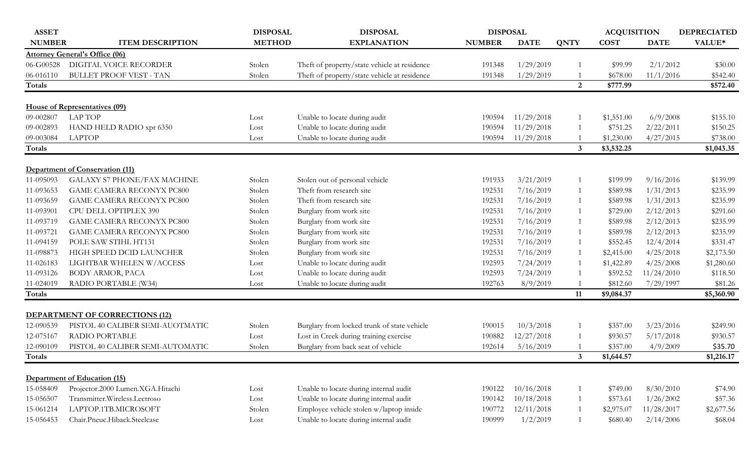| <b>ASSET</b>  |                                       | <b>DISPOSAL</b> | <b>DISPOSAL</b>                              | <b>DISPOSAL</b> |             |                | <b>ACQUISITION</b> |             | <b>DEPRECIATED</b> |
|---------------|---------------------------------------|-----------------|----------------------------------------------|-----------------|-------------|----------------|--------------------|-------------|--------------------|
| <b>NUMBER</b> | <b>ITEM DESCRIPTION</b>               | <b>METHOD</b>   | <b>EXPLANATION</b>                           | <b>NUMBER</b>   | <b>DATE</b> | <b>QNTY</b>    | <b>COST</b>        | <b>DATE</b> | VALUE*             |
|               | <b>Attorney General's Office (06)</b> |                 |                                              |                 |             |                |                    |             |                    |
| 06-G00528     | DIGITAL VOICE RECORDER                | Stolen          | Theft of property/state vehicle at residence | 191348          | 1/29/2019   |                | \$99.99            | 2/1/2012    | \$30.00            |
| 06-016110     | <b>BULLET PROOF VEST - TAN</b>        | Stolen          | Theft of property/state vehicle at residence | 191348          | 1/29/2019   |                | \$678.00           | 11/1/2016   | \$542.40           |
| Totals        |                                       |                 |                                              |                 |             | 2              | \$777.99           |             | \$572.40           |
|               | House of Representatives (09)         |                 |                                              |                 |             |                |                    |             |                    |
| 09-002807     | <b>LAP TOP</b>                        | Lost            | Unable to locate during audit                | 190594          | 11/29/2018  | -1             | \$1,551.00         | 6/9/2008    | \$155.10           |
| 09-002893     | HAND HELD RADIO xpr 6350              | Lost            | Unable to locate during audit                | 190594          | 11/29/2018  |                | \$751.25           | 2/22/2011   | \$150.25           |
| 09-003084     | <b>LAPTOP</b>                         | Lost            | Unable to locate during audit                | 190594          | 11/29/2018  |                | \$1,230.00         | 4/27/2015   | \$738.00           |
| Totals        |                                       |                 |                                              |                 |             | $\mathbf{3}$   | \$3,532.25         |             | \$1,043.35         |
|               | Department of Conservation (11)       |                 |                                              |                 |             |                |                    |             |                    |
| 11-095093     | GALAXY S7 PHONE/FAX MACHINE           | Stolen          | Stolen out of personal vehicle               | 191933          | 3/21/2019   | -1             | \$199.99           | 9/16/2016   | \$139.99           |
| 11-093653     | <b>GAME CAMERA RECONYX PC800</b>      | Stolen          | Theft from research site                     | 192531          | 7/16/2019   | 1              | \$589.98           | 1/31/2013   | \$235.99           |
| 11-093659     | <b>GAME CAMERA RECONYX PC800</b>      | Stolen          | Theft from research site                     | 192531          | 7/16/2019   | 1              | \$589.98           | 1/31/2013   | \$235.99           |
| 11-093901     | CPU DELL OPTIPLEX 390                 | Stolen          | Burglary from work site                      | 192531          | 7/16/2019   | 1              | \$729.00           | 2/12/2013   | \$291.60           |
| 11-093719     | <b>GAME CAMERA RECONYX PC800</b>      | Stolen          | Burglary from work site                      | 192531          | 7/16/2019   | 1              | \$589.98           | 2/12/2013   | \$235.99           |
| 11-093721     | <b>GAME CAMERA RECONYX PC800</b>      | Stolen          | Burglary from work site                      | 192531          | 7/16/2019   | 1              | \$589.98           | 2/12/2013   | \$235.99           |
| 11-094159     | POLE SAW STIHL HT131                  | Stolen          | Burglary from work site                      | 192531          | 7/16/2019   | 1              | \$552.45           | 12/4/2014   | \$331.47           |
| 11-098873     | HIGH SPEED DCID LAUNCHER              | Stolen          | Burglary from work site                      | 192531          | 7/16/2019   | 1              | \$2,415.00         | 4/25/2018   | \$2,173.50         |
| 11-026183     | LIGHTBAR WHELEN W/ACCESS              | Lost            | Unable to locate during audit                | 192593          | 7/24/2019   | 1              | \$1,422.89         | 4/25/2008   | \$1,280.60         |
| 11-093126     | BODY ARMOR, PACA                      | Lost            | Unable to locate during audit                | 192593          | 7/24/2019   | 1              | \$592.52           | 11/24/2010  | \$118.50           |
| 11-024019     | RADIO PORTABLE (W34)                  | Lost            | Unable to locate during audit                | 192763          | 8/9/2019    |                | \$812.60           | 7/29/1997   | \$81.26            |
| Totals        |                                       |                 |                                              |                 |             | 11             | \$9,084.37         |             | \$5,360.90         |
|               | <b>DEPARTMENT OF CORRECTIONS (12)</b> |                 |                                              |                 |             |                |                    |             |                    |
| 12-090539     | PISTOL 40 CALIBER SEMI-AUOTMATIC      | Stolen          | Burglary from locked trunk of state vehicle  | 190015          | 10/3/2018   | $\overline{1}$ | \$357.00           | 3/23/2016   | \$249.90           |
| 12-075167     | RADIO PORTABLE                        | Lost            | Lost in Creek during training exercise       | 190882          | 12/27/2018  | $\overline{1}$ | \$930.57           | 5/17/2018   | \$930.57           |
| 12-090109     | PISTOL 40 CALIBER SEMI-AUTOMATIC      | Stolen          | Burglary from back seat of vehicle           | 192614          | 5/16/2019   |                | \$357.00           | 4/9/2009    | \$35.70            |
| Totals        |                                       |                 |                                              |                 |             | $\mathbf{3}$   | \$1,644.57         |             | \$1,216.17         |
|               | Department of Education (15)          |                 |                                              |                 |             |                |                    |             |                    |
| 15-058409     | Projector.2000 Lumen.XGA.Hitachi      | Lost            | Unable to locate during internal audit       | 190122          | 10/16/2018  | 1              | \$749.00           | 8/30/2010   | \$74.90            |
| 15-056507     | Transmitter. Wireless. Lectroso       | Lost            | Unable to locate during internal audit       | 190142          | 10/18/2018  | 1              | \$573.61           | 1/26/2002   | \$57.36            |
| 15-061214     | LAPTOP.1TB.MICROSOFT                  | Stolen          | Employee vehicle stolen w/laptop inside      | 190772          | 12/11/2018  | 1              | \$2,975.07         | 11/28/2017  | \$2,677.56         |
| 15-056453     | Chair.Pneuc.Hiback.Steelcase          | Lost            | Unable to locate during internal audit       | 190999          | 1/2/2019    | 1              | \$680.40           | 2/14/2006   | \$68.04            |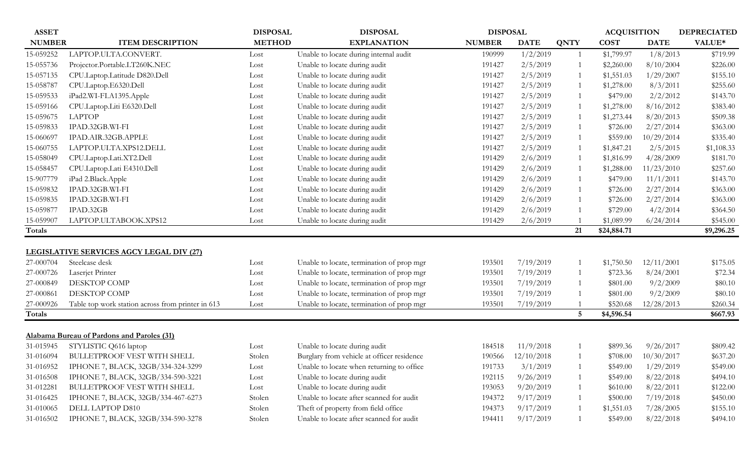| <b>ASSET</b>  |                                                   | <b>DISPOSAL</b> | <b>DISPOSAL</b>                            | <b>DISPOSAL</b> |             |                 | <b>ACQUISITION</b> |             | <b>DEPRECIATED</b> |
|---------------|---------------------------------------------------|-----------------|--------------------------------------------|-----------------|-------------|-----------------|--------------------|-------------|--------------------|
| <b>NUMBER</b> | <b>ITEM DESCRIPTION</b>                           | <b>METHOD</b>   | <b>EXPLANATION</b>                         | <b>NUMBER</b>   | <b>DATE</b> | <b>QNTY</b>     | <b>COST</b>        | <b>DATE</b> | VALUE*             |
| 15-059252     | LAPTOP.ULTA.CONVERT.                              | Lost            | Unable to locate during internal audit     | 190999          | 1/2/2019    | $\overline{1}$  | \$1,799.97         | 1/8/2013    | \$719.99           |
| 15-055736     | Projector.Portable.LT260K.NEC                     | Lost            | Unable to locate during audit              | 191427          | 2/5/2019    |                 | \$2,260.00         | 8/10/2004   | \$226.00           |
| 15-057135     | CPU.Laptop.Latitude D820.Dell                     | Lost            | Unable to locate during audit              | 191427          | 2/5/2019    | 1               | \$1,551.03         | 1/29/2007   | \$155.10           |
| 15-058787     | CPU.Laptop.E6320.Dell                             | Lost            | Unable to locate during audit              | 191427          | 2/5/2019    | -1              | \$1,278.00         | 8/3/2011    | \$255.60           |
| 15-059533     | iPad2.WI-FI.A1395.Apple                           | Lost            | Unable to locate during audit              | 191427          | 2/5/2019    | $\mathbf{1}$    | \$479.00           | 2/2/2012    | \$143.70           |
| 15-059166     | CPU.Laptop.Liti E6320.Dell                        | Lost            | Unable to locate during audit              | 191427          | 2/5/2019    | 1               | \$1,278.00         | 8/16/2012   | \$383.40           |
| 15-059675     | <b>LAPTOP</b>                                     | Lost            | Unable to locate during audit              | 191427          | 2/5/2019    | -1              | \$1,273.44         | 8/20/2013   | \$509.38           |
| 15-059833     | IPAD.32GB.WI-FI                                   | Lost            | Unable to locate during audit              | 191427          | 2/5/2019    |                 | \$726.00           | 2/27/2014   | \$363.00           |
| 15-060697     | IPAD.AIR.32GB.APPLE                               | Lost            | Unable to locate during audit              | 191427          | 2/5/2019    | 1               | \$559.00           | 10/29/2014  | \$335.40           |
| 15-060755     | LAPTOP.ULTA.XPS12.DELL                            | Lost            | Unable to locate during audit              | 191427          | 2/5/2019    | 1               | \$1,847.21         | 2/5/2015    | \$1,108.33         |
| 15-058049     | CPU.Laptop.Lati.XT2.Dell                          | Lost            | Unable to locate during audit              | 191429          | 2/6/2019    | $\mathbf{1}$    | \$1,816.99         | 4/28/2009   | \$181.70           |
| 15-058457     | CPU.Laptop.Lati E4310.Dell                        | Lost            | Unable to locate during audit              | 191429          | 2/6/2019    | $\mathbf{1}$    | \$1,288.00         | 11/23/2010  | \$257.60           |
| 15-907779     | iPad 2.Black.Apple                                | Lost            | Unable to locate during audit              | 191429          | 2/6/2019    |                 | \$479.00           | 11/1/2011   | \$143.70           |
| 15-059832     | IPAD.32GB.WI-FI                                   | Lost            | Unable to locate during audit              | 191429          | 2/6/2019    |                 | \$726.00           | 2/27/2014   | \$363.00           |
| 15-059835     | IPAD.32GB.WI-FI                                   | Lost            | Unable to locate during audit              | 191429          | 2/6/2019    |                 | \$726.00           | 2/27/2014   | \$363.00           |
| 15-059877     | IPAD.32GB                                         | Lost            | Unable to locate during audit              | 191429          | 2/6/2019    |                 | \$729.00           | 4/2/2014    | \$364.50           |
| 15-059907     | LAPTOP.ULTABOOK.XPS12                             | Lost            | Unable to locate during audit              | 191429          | 2/6/2019    |                 | \$1,089.99         | 6/24/2014   | \$545.00           |
| Totals        |                                                   |                 |                                            |                 |             | 21              | \$24,884.71        |             | \$9,296.25         |
|               |                                                   |                 |                                            |                 |             |                 |                    |             |                    |
|               | LEGISLATIVE SERVICES AGCY LEGAL DIV (27)          |                 |                                            |                 |             |                 |                    |             |                    |
| 27-000704     | Steelcase desk                                    | Lost            | Unable to locate, termination of prop mgr  | 193501          | 7/19/2019   |                 | \$1,750.50         | 12/11/2001  | \$175.05           |
| 27-000726     | Laserjet Printer                                  | Lost            | Unable to locate, termination of prop mgr  | 193501          | 7/19/2019   |                 | \$723.36           | 8/24/2001   | \$72.34            |
| 27-000849     | DESKTOP COMP                                      | Lost            | Unable to locate, termination of prop mgr  | 193501          | 7/19/2019   |                 | \$801.00           | 9/2/2009    | \$80.10            |
| 27-000861     | DESKTOP COMP                                      | Lost            | Unable to locate, termination of prop mgr  | 193501          | 7/19/2019   |                 | \$801.00           | 9/2/2009    | \$80.10            |
| 27-000926     | Table top work station across from printer in 613 | Lost            | Unable to locate, termination of prop mgr  | 193501          | 7/19/2019   |                 | \$520.68           | 12/28/2013  | \$260.34           |
| Totals        |                                                   |                 |                                            |                 |             | $5\overline{)}$ | \$4,596.54         |             | \$667.93           |
|               |                                                   |                 |                                            |                 |             |                 |                    |             |                    |
|               | Alabama Bureau of Pardons and Paroles (31)        |                 |                                            |                 |             |                 |                    |             |                    |
| 31-015945     | STYLISTIC Q616 laptop                             | Lost            | Unable to locate during audit              | 184518          | 11/9/2018   |                 | \$899.36           | 9/26/2017   | \$809.42           |
| 31-016094     | <b>BULLETPROOF VEST WITH SHELL</b>                | Stolen          | Burglary from vehicle at officer residence | 190566          | 12/10/2018  |                 | \$708.00           | 10/30/2017  | \$637.20           |
| 31-016952     | IPHONE 7, BLACK, 32GB/334-324-3299                | Lost            | Unable to locate when returning to office  | 191733          | 3/1/2019    |                 | \$549.00           | 1/29/2019   | \$549.00           |
| 31-016508     | IPHONE 7, BLACK, 32GB/334-590-3221                | Lost            | Unable to locate during audit              | 192115          | 9/26/2019   |                 | \$549.00           | 8/22/2018   | \$494.10           |
| 31-012281     | BULLETPROOF VEST WITH SHELL                       | Lost            | Unable to locate during audit              | 193053          | 9/20/2019   |                 | \$610.00           | 8/22/2011   | \$122.00           |
| 31-016425     | IPHONE 7, BLACK, 32GB/334-467-6273                | Stolen          | Unable to locate after scanned for audit   | 194372          | 9/17/2019   |                 | \$500.00           | 7/19/2018   | \$450.00           |
| 31-010065     | DELL LAPTOP D810                                  | Stolen          | Theft of property from field office        | 194373          | 9/17/2019   |                 | \$1,551.03         | 7/28/2005   | \$155.10           |
| 31-016502     | IPHONE 7, BLACK, 32GB/334-590-3278                | Stolen          | Unable to locate after scanned for audit   | 194411          | 9/17/2019   |                 | \$549.00           | 8/22/2018   | \$494.10           |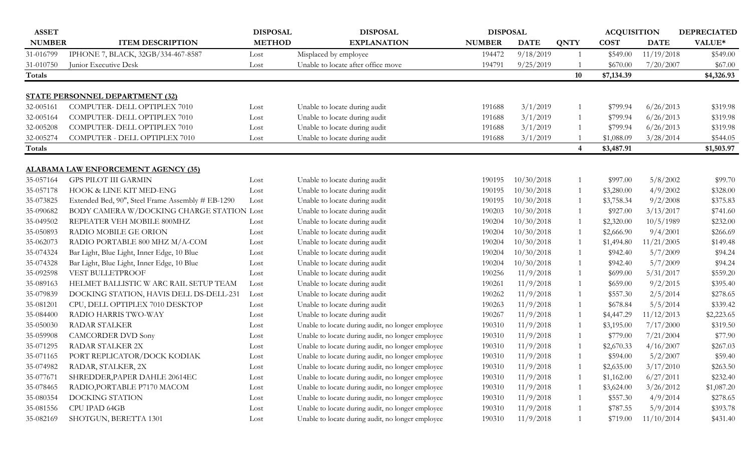| <b>ASSET</b>  |                                                   | <b>DISPOSAL</b> | <b>DISPOSAL</b>                                   | <b>DISPOSAL</b> |             |             | <b>ACQUISITION</b> |             | <b>DEPRECIATED</b> |
|---------------|---------------------------------------------------|-----------------|---------------------------------------------------|-----------------|-------------|-------------|--------------------|-------------|--------------------|
| <b>NUMBER</b> | <b>ITEM DESCRIPTION</b>                           | <b>METHOD</b>   | <b>EXPLANATION</b>                                | <b>NUMBER</b>   | <b>DATE</b> | <b>QNTY</b> | <b>COST</b>        | <b>DATE</b> | VALUE*             |
| 31-016799     | IPHONE 7, BLACK, 32GB/334-467-8587                | Lost            | Misplaced by employee                             | 194472          | 9/18/2019   | - 1         | \$549.00           | 11/19/2018  | \$549.00           |
| 31-010750     | Junior Executive Desk                             | Lost            | Unable to locate after office move                | 194791          | 9/25/2019   |             | \$670.00           | 7/20/2007   | \$67.00            |
| Totals        |                                                   |                 |                                                   |                 |             | 10          | \$7,134.39         |             | \$4,326.93         |
|               | <b>STATE PERSONNEL DEPARTMENT (32)</b>            |                 |                                                   |                 |             |             |                    |             |                    |
| 32-005161     | COMPUTER- DELL OPTIPLEX 7010                      | Lost            | Unable to locate during audit                     | 191688          | 3/1/2019    | $\lceil$    | \$799.94           | 6/26/2013   | \$319.98           |
| 32-005164     | COMPUTER- DELL OPTIPLEX 7010                      | Lost            | Unable to locate during audit                     | 191688          | 3/1/2019    | -1          | \$799.94           | 6/26/2013   | \$319.98           |
| 32-005208     | COMPUTER- DELL OPTIPLEX 7010                      | Lost            | Unable to locate during audit                     | 191688          | 3/1/2019    |             | \$799.94           | 6/26/2013   | \$319.98           |
| 32-005274     | COMPUTER - DELL OPTIPLEX 7010                     | Lost            | Unable to locate during audit                     | 191688          | 3/1/2019    |             | \$1,088.09         | 3/28/2014   | \$544.05           |
| Totals        |                                                   |                 |                                                   |                 |             | 4           | \$3,487.91         |             | \$1,503.97         |
|               |                                                   |                 |                                                   |                 |             |             |                    |             |                    |
|               | <b>ALABAMA LAW ENFORCEMENT AGENCY (35)</b>        |                 |                                                   |                 |             |             |                    |             |                    |
| 35-057164     | <b>GPS PILOT III GARMIN</b>                       | Lost            | Unable to locate during audit                     | 190195          | 10/30/2018  | -1          | \$997.00           | 5/8/2002    | \$99.70            |
| 35-057178     | HOOK & LINE KIT MED-ENG                           | Lost            | Unable to locate during audit                     | 190195          | 10/30/2018  |             | \$3,280.00         | 4/9/2002    | \$328.00           |
| 35-073825     | Extended Bed, 90", Steel Frame Assembly # EB-1290 | Lost            | Unable to locate during audit                     | 190195          | 10/30/2018  |             | \$3,758.34         | 9/2/2008    | \$375.83           |
| 35-090682     | BODY CAMERA W/DOCKING CHARGE STATION Lost         |                 | Unable to locate during audit                     | 190203          | 10/30/2018  | -1          | \$927.00           | 3/13/2017   | \$741.60           |
| 35-049502     | REPEATER VEH MOBILE 800MHZ                        | Lost            | Unable to locate during audit                     | 190204          | 10/30/2018  |             | \$2,320.00         | 10/5/1989   | \$232.00           |
| 35-050893     | <b>RADIO MOBILE GE ORION</b>                      | Lost            | Unable to locate during audit                     | 190204          | 10/30/2018  |             | \$2,666.90         | 9/4/2001    | \$266.69           |
| 35-062073     | RADIO PORTABLE 800 MHZ M/A-COM                    | Lost            | Unable to locate during audit                     | 190204          | 10/30/2018  |             | \$1,494.80         | 11/21/2005  | \$149.48           |
| 35-074324     | Bar Light, Blue Light, Inner Edge, 10 Blue        | Lost            | Unable to locate during audit                     | 190204          | 10/30/2018  |             | \$942.40           | 5/7/2009    | \$94.24            |
| 35-074328     | Bar Light, Blue Light, Inner Edge, 10 Blue        | Lost            | Unable to locate during audit                     | 190204          | 10/30/2018  |             | \$942.40           | 5/7/2009    | \$94.24            |
| 35-092598     | VEST BULLETPROOF                                  | Lost            | Unable to locate during audit                     | 190256          | 11/9/2018   | -1          | \$699.00           | 5/31/2017   | \$559.20           |
| 35-089163     | HELMET BALLISTIC W ARC RAIL SETUP TEAM            | Lost            | Unable to locate during audit                     | 190261          | 11/9/2018   |             | \$659.00           | 9/2/2015    | \$395.40           |
| 35-079839     | DOCKING STATION, HAVIS DELL DS-DELL-231           | Lost            | Unable to locate during audit                     | 190262          | 11/9/2018   |             | \$557.30           | 2/5/2014    | \$278.65           |
| 35-081201     | CPU, DELL OPTIPLEX 7010 DESKTOP                   | Lost            | Unable to locate during audit                     | 190263          | 11/9/2018   | -1          | \$678.84           | 5/5/2014    | \$339.42           |
| 35-084400     | RADIO HARRIS TWO-WAY                              | Lost            | Unable to locate during audit                     | 190267          | 11/9/2018   |             | \$4,447.29         | 11/12/2013  | \$2,223.65         |
| 35-050030     | <b>RADAR STALKER</b>                              | Lost            | Unable to locate during audit, no longer employee | 190310          | 11/9/2018   |             | \$3,195.00         | 7/17/2000   | \$319.50           |
| 35-059908     | <b>CAMCORDER DVD Sony</b>                         | Lost            | Unable to locate during audit, no longer employee | 190310          | 11/9/2018   |             | \$779.00           | 7/21/2004   | \$77.90            |
| 35-071295     | RADAR STALKER 2X                                  | Lost            | Unable to locate during audit, no longer employee | 190310          | 11/9/2018   |             | \$2,670.33         | 4/16/2007   | \$267.03           |
| 35-071165     | PORT REPLICATOR/DOCK KODIAK                       | Lost            | Unable to locate during audit, no longer employee | 190310          | 11/9/2018   |             | \$594.00           | 5/2/2007    | \$59.40            |
| 35-074982     | RADAR, STALKER, 2X                                | Lost            | Unable to locate during audit, no longer employee | 190310          | 11/9/2018   | $\lceil$    | \$2,635.00         | 3/17/2010   | \$263.50           |
| 35-077671     | SHREDDER, PAPER DAHLE 20614EC                     | Lost            | Unable to locate during audit, no longer employee | 190310          | 11/9/2018   |             | \$1,162.00         | 6/27/2011   | \$232.40           |
| 35-078465     | RADIO, PORTABLE P7170 MACOM                       | Lost            | Unable to locate during audit, no longer employee | 190310          | 11/9/2018   | -1          | \$3,624.00         | 3/26/2012   | \$1,087.20         |
| 35-080354     | DOCKING STATION                                   | Lost            | Unable to locate during audit, no longer employee | 190310          | 11/9/2018   |             | \$557.30           | 4/9/2014    | \$278.65           |
| 35-081556     | CPU IPAD 64GB                                     | Lost            | Unable to locate during audit, no longer employee | 190310          | 11/9/2018   |             | \$787.55           | 5/9/2014    | \$393.78           |
| 35-082169     | SHOTGUN, BERETTA 1301                             | Lost            | Unable to locate during audit, no longer employee | 190310          | 11/9/2018   | -1          | \$719.00           | 11/10/2014  | \$431.40           |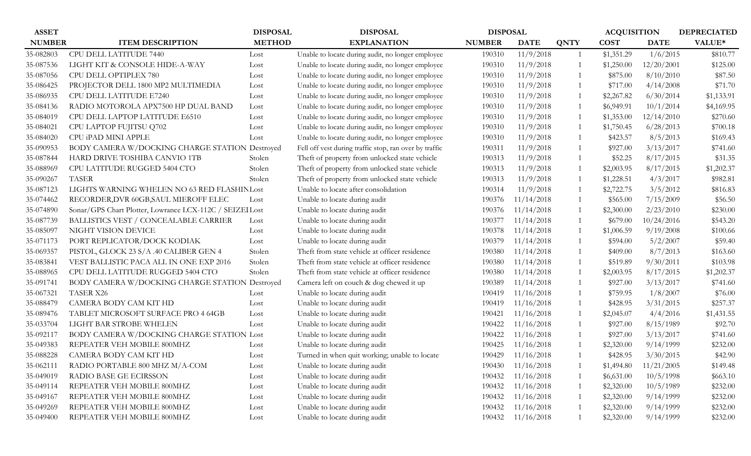| <b>ASSET</b>  |                                                          | <b>DISPOSAL</b> | <b>DISPOSAL</b>                                        | <b>DISPOSAL</b> |             |                | <b>ACQUISITION</b> |             | <b>DEPRECIATED</b> |
|---------------|----------------------------------------------------------|-----------------|--------------------------------------------------------|-----------------|-------------|----------------|--------------------|-------------|--------------------|
| <b>NUMBER</b> | <b>ITEM DESCRIPTION</b>                                  | <b>METHOD</b>   | <b>EXPLANATION</b>                                     | <b>NUMBER</b>   | <b>DATE</b> | <b>QNTY</b>    | <b>COST</b>        | <b>DATE</b> | VALUE*             |
| 35-082803     | CPU DELL LATITUDE 7440                                   | Lost            | Unable to locate during audit, no longer employee      | 190310          | 11/9/2018   | -1             | \$1,351.29         | 1/6/2015    | \$810.77           |
| 35-087536     | LIGHT KIT & CONSOLE HIDE-A-WAY                           | Lost            | Unable to locate during audit, no longer employee      | 190310          | 11/9/2018   |                | \$1,250.00         | 12/20/2001  | \$125.00           |
| 35-087056     | CPU DELL OPTIPLEX 780                                    | Lost            | Unable to locate during audit, no longer employee      | 190310          | 11/9/2018   |                | \$875.00           | 8/10/2010   | \$87.50            |
| 35-086425     | PROJECTOR DELL 1800 MP2 MULTIMEDIA                       | Lost            | Unable to locate during audit, no longer employee      | 190310          | 11/9/2018   | -1             | \$717.00           | 4/14/2008   | \$71.70            |
| 35-086935     | CPU DELL LATITUDE E7240                                  | Lost            | Unable to locate during audit, no longer employee      | 190310          | 11/9/2018   | -1             | \$2,267.82         | 6/30/2014   | \$1,133.91         |
| 35-084136     | RADIO MOTOROLA APX7500 HP DUAL BAND                      | Lost            | Unable to locate during audit, no longer employee      | 190310          | 11/9/2018   |                | \$6,949.91         | 10/1/2014   | \$4,169.95         |
| 35-084019     | CPU DELL LAPTOP LATITUDE E6510                           | Lost            | Unable to locate during audit, no longer employee      | 190310          | 11/9/2018   | -1             | \$1,353.00         | 12/14/2010  | \$270.60           |
| 35-084021     | CPU LAPTOP FUJITSU Q702                                  | Lost            | Unable to locate during audit, no longer employee      | 190310          | 11/9/2018   | $\overline{1}$ | \$1,750.45         | 6/28/2013   | \$700.18           |
| 35-084020     | CPU iPAD MINI APPLE                                      | Lost            | Unable to locate during audit, no longer employee      | 190310          | 11/9/2018   |                | \$423.57           | 8/5/2013    | \$169.43           |
| 35-090953     | BODY CAMERA W/DOCKING CHARGE STATION Destroyed           |                 | Fell off vest during traffic stop, ran over by traffic | 190311          | 11/9/2018   | -1             | \$927.00           | 3/13/2017   | \$741.60           |
| 35-087844     | HARD DRIVE TOSHIBA CANVIO 1TB                            | Stolen          | Theft of property from unlocked state vehicle          | 190313          | 11/9/2018   | -1             | \$52.25            | 8/17/2015   | \$31.35            |
| 35-088969     | CPU LATITUDE RUGGED 5404 CTO                             | Stolen          | Theft of property from unlocked state vehicle          | 190313          | 11/9/2018   |                | \$2,003.95         | 8/17/2015   | \$1,202.37         |
| 35-090267     | <b>TASER</b>                                             | Stolen          | Theft of property from unlocked state vehicle          | 190313          | 11/9/2018   | $\overline{1}$ | \$1,228.51         | 4/3/2017    | \$982.81           |
| 35-087123     | LIGHTS WARNING WHELEN NO 63 RED FLASHINLost              |                 | Unable to locate after consolidation                   | 190314          | 11/9/2018   | -1             | \$2,722.75         | 3/5/2012    | \$816.83           |
| 35-074462     | RECORDER, DVR 60GB, SAUL MIEROFF ELEC                    | Lost            | Unable to locate during audit                          | 190376          | 11/14/2018  |                | \$565.00           | 7/15/2009   | \$56.50            |
| 35-074890     | Sonar/GPS Chart Plotter, Lowrance LCX-112C / SEIZEI Lost |                 | Unable to locate during audit                          | 190376          | 11/14/2018  | $\overline{1}$ | \$2,300.00         | 2/23/2010   | \$230.00           |
| 35-087739     | <b>BALLISTICS VEST / CONCEALABLE CARRIER</b>             | Lost            | Unable to locate during audit                          | 190377          | 11/14/2018  | -1             | \$679.00           | 10/24/2016  | \$543.20           |
| 35-085097     | NIGHT VISION DEVICE                                      | Lost            | Unable to locate during audit                          | 190378          | 11/14/2018  |                | \$1,006.59         | 9/19/2008   | \$100.66           |
| 35-071173     | PORT REPLICATOR/DOCK KODIAK                              | Lost            | Unable to locate during audit                          | 190379          | 11/14/2018  | -1             | \$594.00           | 5/2/2007    | \$59.40            |
| 35-069357     | PISTOL, GLOCK 23 S/A .40 CALIBER GEN 4                   | Stolen          | Theft from state vehicle at officer residence          | 190380          | 11/14/2018  |                | \$409.00           | 8/7/2013    | \$163.60           |
| 35-083841     | VEST BALLISTIC PACA ALL IN ONE EXP 2016                  | Stolen          | Theft from state vehicle at officer residence          | 190380          | 11/14/2018  |                | \$519.89           | 9/30/2011   | \$103.98           |
| 35-088965     | CPU DELL LATITUDE RUGGED 5404 CTO                        | Stolen          | Theft from state vehicle at officer residence          | 190380          | 11/14/2018  |                | \$2,003.95         | 8/17/2015   | \$1,202.37         |
| 35-091741     | BODY CAMERA W/DOCKING CHARGE STATION Destroyed           |                 | Camera left on couch & dog chewed it up                | 190389          | 11/14/2018  |                | \$927.00           | 3/13/2017   | \$741.60           |
| 35-067321     | <b>TASER X26</b>                                         | Lost            | Unable to locate during audit                          | 190419          | 11/16/2018  |                | \$759.95           | 1/8/2007    | \$76.00            |
| 35-088479     | CAMERA BODY CAM KIT HD                                   | Lost            | Unable to locate during audit                          | 190419          | 11/16/2018  | -1             | \$428.95           | 3/31/2015   | \$257.37           |
| 35-089476     | TABLET MICROSOFT SURFACE PRO 4 64GB                      | Lost            | Unable to locate during audit                          | 190421          | 11/16/2018  |                | \$2,045.07         | 4/4/2016    | \$1,431.55         |
| 35-033704     | LIGHT BAR STROBE WHELEN                                  | Lost            | Unable to locate during audit                          | 190422          | 11/16/2018  | $\overline{1}$ | \$927.00           | 8/15/1989   | \$92.70            |
| 35-092117     | BODY CAMERA W/DOCKING CHARGE STATION Lost                |                 | Unable to locate during audit                          | 190422          | 11/16/2018  |                | \$927.00           | 3/13/2017   | \$741.60           |
| 35-049383     | REPEATER VEH MOBILE 800MHZ                               | Lost            | Unable to locate during audit                          | 190425          | 11/16/2018  |                | \$2,320.00         | 9/14/1999   | \$232.00           |
| 35-088228     | CAMERA BODY CAM KIT HD                                   | Lost            | Turned in when quit working; unable to locate          | 190429          | 11/16/2018  |                | \$428.95           | 3/30/2015   | \$42.90            |
| 35-062111     | RADIO PORTABLE 800 MHZ M/A-COM                           | Lost            | Unable to locate during audit                          | 190430          | 11/16/2018  |                | \$1,494.80         | 11/21/2005  | \$149.48           |
| 35-049019     | RADIO BASE GE ECIRSSON                                   | Lost            | Unable to locate during audit                          | 190432          | 11/16/2018  |                | \$6,631.00         | 10/5/1998   | \$663.10           |
| 35-049114     | REPEATER VEH MOBILE 800MHZ                               | Lost            | Unable to locate during audit                          | 190432          | 11/16/2018  |                | \$2,320.00         | 10/5/1989   | \$232.00           |
| 35-049167     | REPEATER VEH MOBILE 800MHZ                               | Lost            | Unable to locate during audit                          | 190432          | 11/16/2018  |                | \$2,320.00         | 9/14/1999   | \$232.00           |
| 35-049269     | REPEATER VEH MOBILE 800MHZ                               | Lost            | Unable to locate during audit                          | 190432          | 11/16/2018  |                | \$2,320.00         | 9/14/1999   | \$232.00           |
| 35-049400     | REPEATER VEH MOBILE 800MHZ                               | Lost            | Unable to locate during audit                          | 190432          | 11/16/2018  |                | \$2,320.00         | 9/14/1999   | \$232.00           |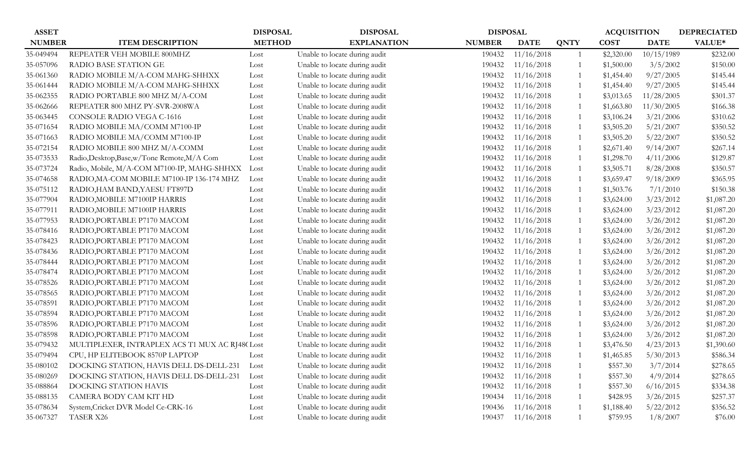| <b>ASSET</b>  |                                                | <b>DISPOSAL</b> | <b>DISPOSAL</b>               | <b>DISPOSAL</b> |             |             | <b>ACQUISITION</b> |             | <b>DEPRECIATED</b> |
|---------------|------------------------------------------------|-----------------|-------------------------------|-----------------|-------------|-------------|--------------------|-------------|--------------------|
| <b>NUMBER</b> | <b>ITEM DESCRIPTION</b>                        | <b>METHOD</b>   | <b>EXPLANATION</b>            | <b>NUMBER</b>   | <b>DATE</b> | <b>QNTY</b> | <b>COST</b>        | <b>DATE</b> | VALUE*             |
| 35-049494     | REPEATER VEH MOBILE 800MHZ                     | Lost            | Unable to locate during audit | 190432          | 11/16/2018  |             | \$2,320.00         | 10/15/1989  | \$232.00           |
| 35-057096     | RADIO BASE STATION GE                          | Lost            | Unable to locate during audit | 190432          | 11/16/2018  |             | \$1,500.00         | 3/5/2002    | \$150.00           |
| 35-061360     | RADIO MOBILE M/A-COM MAHG-SHHXX                | Lost            | Unable to locate during audit | 190432          | 11/16/2018  |             | \$1,454.40         | 9/27/2005   | \$145.44           |
| 35-061444     | RADIO MOBILE M/A-COM MAHG-SHHXX                | Lost            | Unable to locate during audit | 190432          | 11/16/2018  |             | \$1,454.40         | 9/27/2005   | \$145.44           |
| 35-062355     | RADIO PORTABLE 800 MHZ M/A-COM                 | Lost            | Unable to locate during audit | 190432          | 11/16/2018  |             | \$3,013.65         | 11/28/2005  | \$301.37           |
| 35-062666     | REPEATER 800 MHZ PY-SVR-2008WA                 | Lost            | Unable to locate during audit | 190432          | 11/16/2018  |             | \$1,663.80         | 11/30/2005  | \$166.38           |
| 35-063445     | CONSOLE RADIO VEGA C-1616                      | Lost            | Unable to locate during audit | 190432          | 11/16/2018  |             | \$3,106.24         | 3/21/2006   | \$310.62           |
| 35-071654     | RADIO MOBILE MA/COMM M7100-IP                  | Lost            | Unable to locate during audit | 190432          | 11/16/2018  |             | \$3,505.20         | 5/21/2007   | \$350.52           |
| 35-071663     | RADIO MOBILE MA/COMM M7100-IP                  | Lost            | Unable to locate during audit | 190432          | 11/16/2018  |             | \$3,505.20         | 5/22/2007   | \$350.52           |
| 35-072154     | RADIO MOBILE 800 MHZ M/A-COMM                  | Lost            | Unable to locate during audit | 190432          | 11/16/2018  |             | \$2,671.40         | 9/14/2007   | \$267.14           |
| 35-073533     | Radio, Desktop, Base, w/Tone Remote, M/A Com   | Lost            | Unable to locate during audit | 190432          | 11/16/2018  |             | \$1,298.70         | 4/11/2006   | \$129.87           |
| 35-073724     | Radio, Mobile, M/A-COM M7100-IP, MAHG-SHHXX    | Lost            | Unable to locate during audit | 190432          | 11/16/2018  |             | \$3,505.71         | 8/28/2008   | \$350.57           |
| 35-074658     | RADIO, MA-COM MOBILE M7100-IP 136-174 MHZ      | Lost            | Unable to locate during audit | 190432          | 11/16/2018  |             | \$3,659.47         | 9/18/2009   | \$365.95           |
| 35-075112     | RADIO, HAM BAND, YAESU FT897D                  | Lost            | Unable to locate during audit | 190432          | 11/16/2018  |             | \$1,503.76         | 7/1/2010    | \$150.38           |
| 35-077904     | RADIO, MOBILE M7100IP HARRIS                   | Lost            | Unable to locate during audit | 190432          | 11/16/2018  |             | \$3,624.00         | 3/23/2012   | \$1,087.20         |
| 35-077911     | RADIO, MOBILE M7100IP HARRIS                   | Lost            | Unable to locate during audit | 190432          | 11/16/2018  |             | \$3,624.00         | 3/23/2012   | \$1,087.20         |
| 35-077953     | RADIO, PORTABLE P7170 MACOM                    | Lost            | Unable to locate during audit | 190432          | 11/16/2018  |             | \$3,624.00         | 3/26/2012   | \$1,087.20         |
| 35-078416     | RADIO, PORTABLE P7170 MACOM                    | Lost            | Unable to locate during audit | 190432          | 11/16/2018  |             | \$3,624.00         | 3/26/2012   | \$1,087.20         |
| 35-078423     | RADIO, PORTABLE P7170 MACOM                    | Lost            | Unable to locate during audit | 190432          | 11/16/2018  |             | \$3,624.00         | 3/26/2012   | \$1,087.20         |
| 35-078436     | RADIO, PORTABLE P7170 MACOM                    | Lost            | Unable to locate during audit | 190432          | 11/16/2018  |             | \$3,624.00         | 3/26/2012   | \$1,087.20         |
| 35-078444     | RADIO, PORTABLE P7170 MACOM                    | Lost            | Unable to locate during audit | 190432          | 11/16/2018  |             | \$3,624.00         | 3/26/2012   | \$1,087.20         |
| 35-078474     | RADIO, PORTABLE P7170 MACOM                    | Lost            | Unable to locate during audit | 190432          | 11/16/2018  |             | \$3,624.00         | 3/26/2012   | \$1,087.20         |
| 35-078526     | RADIO, PORTABLE P7170 MACOM                    | Lost            | Unable to locate during audit | 190432          | 11/16/2018  |             | \$3,624.00         | 3/26/2012   | \$1,087.20         |
| 35-078565     | RADIO, PORTABLE P7170 MACOM                    | Lost            | Unable to locate during audit | 190432          | 11/16/2018  |             | \$3,624.00         | 3/26/2012   | \$1,087.20         |
| 35-078591     | RADIO, PORTABLE P7170 MACOM                    | Lost            | Unable to locate during audit | 190432          | 11/16/2018  |             | \$3,624.00         | 3/26/2012   | \$1,087.20         |
| 35-078594     | RADIO, PORTABLE P7170 MACOM                    | Lost            | Unable to locate during audit | 190432          | 11/16/2018  |             | \$3,624.00         | 3/26/2012   | \$1,087.20         |
| 35-078596     | RADIO, PORTABLE P7170 MACOM                    | Lost            | Unable to locate during audit | 190432          | 11/16/2018  |             | \$3,624.00         | 3/26/2012   | \$1,087.20         |
| 35-078598     | RADIO, PORTABLE P7170 MACOM                    | Lost            | Unable to locate during audit | 190432          | 11/16/2018  |             | \$3,624.00         | 3/26/2012   | \$1,087.20         |
| 35-079432     | MULTIPLEXER, INTRAPLEX ACS T1 MUX AC RJ48(Lost |                 | Unable to locate during audit | 190432          | 11/16/2018  |             | \$3,476.50         | 4/23/2013   | \$1,390.60         |
| 35-079494     | CPU, HP ELITEBOOK 8570P LAPTOP                 | Lost            | Unable to locate during audit | 190432          | 11/16/2018  |             | \$1,465.85         | 5/30/2013   | \$586.34           |
| 35-080102     | DOCKING STATION, HAVIS DELL DS-DELL-231        | Lost            | Unable to locate during audit | 190432          | 11/16/2018  |             | \$557.30           | 3/7/2014    | \$278.65           |
| 35-080269     | DOCKING STATION, HAVIS DELL DS-DELL-231        | Lost            | Unable to locate during audit | 190432          | 11/16/2018  |             | \$557.30           | 4/9/2014    | \$278.65           |
| 35-088864     | DOCKING STATION HAVIS                          | Lost            | Unable to locate during audit | 190432          | 11/16/2018  |             | \$557.30           | 6/16/2015   | \$334.38           |
| 35-088135     | CAMERA BODY CAM KIT HD                         | Lost            | Unable to locate during audit | 190434          | 11/16/2018  |             | \$428.95           | 3/26/2015   | \$257.37           |
| 35-078634     | System, Cricket DVR Model Ce-CRK-16            | Lost            | Unable to locate during audit | 190436          | 11/16/2018  |             | \$1,188.40         | 5/22/2012   | \$356.52           |
| 35-067327     | TASER X26                                      | Lost            | Unable to locate during audit | 190437          | 11/16/2018  |             | \$759.95           | 1/8/2007    | \$76.00            |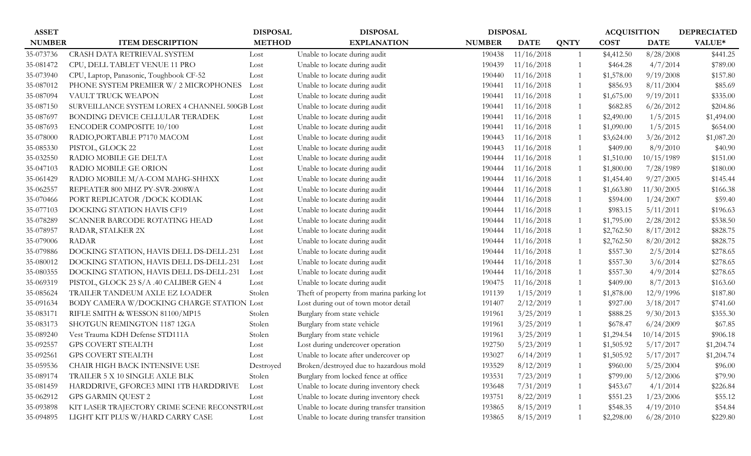| <b>ASSET</b>  |                                                | <b>DISPOSAL</b> | <b>DISPOSAL</b>                             | <b>DISPOSAL</b> |             |                | <b>ACQUISITION</b> |             | <b>DEPRECIATED</b> |
|---------------|------------------------------------------------|-----------------|---------------------------------------------|-----------------|-------------|----------------|--------------------|-------------|--------------------|
| <b>NUMBER</b> | <b>ITEM DESCRIPTION</b>                        | <b>METHOD</b>   | <b>EXPLANATION</b>                          | <b>NUMBER</b>   | <b>DATE</b> | <b>QNTY</b>    | <b>COST</b>        | <b>DATE</b> | VALUE*             |
| 35-073736     | CRASH DATA RETRIEVAL SYSTEM                    | Lost            | Unable to locate during audit               | 190438          | 11/16/2018  | -1             | \$4,412.50         | 8/28/2008   | \$441.25           |
| 35-081472     | CPU, DELL TABLET VENUE 11 PRO                  | Lost            | Unable to locate during audit               | 190439          | 11/16/2018  | $\overline{1}$ | \$464.28           | 4/7/2014    | \$789.00           |
| 35-073940     | CPU, Laptop, Panasonic, Toughbook CF-52        | Lost            | Unable to locate during audit               | 190440          | 11/16/2018  | -1             | \$1,578.00         | 9/19/2008   | \$157.80           |
| 35-087012     | PHONE SYSTEM PREMIER W/ 2 MICROPHONES          | Lost            | Unable to locate during audit               | 190441          | 11/16/2018  | $\overline{1}$ | \$856.93           | 8/11/2004   | \$85.69            |
| 35-087094     | VAULT TRUCK WEAPON                             | Lost            | Unable to locate during audit               | 190441          | 11/16/2018  | $\overline{1}$ | \$1,675.00         | 9/19/2011   | \$335.00           |
| 35-087150     | SURVEILLANCE SYSTEM LOREX 4 CHANNEL 500GB Lost |                 | Unable to locate during audit               | 190441          | 11/16/2018  | $\mathbf{1}$   | \$682.85           | 6/26/2012   | \$204.86           |
| 35-087697     | BONDING DEVICE CELLULAR TERADEK                | Lost            | Unable to locate during audit               | 190441          | 11/16/2018  | $\overline{1}$ | \$2,490.00         | 1/5/2015    | \$1,494.00         |
| 35-087693     | ENCODER COMPOSITE 10/100                       | Lost            | Unable to locate during audit               | 190441          | 11/16/2018  | 1              | \$1,090.00         | 1/5/2015    | \$654.00           |
| 35-078000     | RADIO, PORTABLE P7170 MACOM                    | Lost            | Unable to locate during audit               | 190443          | 11/16/2018  | -1             | \$3,624.00         | 3/26/2012   | \$1,087.20         |
| 35-085330     | PISTOL, GLOCK 22                               | Lost            | Unable to locate during audit               | 190443          | 11/16/2018  | $\overline{1}$ | \$409.00           | 8/9/2010    | \$40.90            |
| 35-032550     | RADIO MOBILE GE DELTA                          | Lost            | Unable to locate during audit               | 190444          | 11/16/2018  | -1             | \$1,510.00         | 10/15/1989  | \$151.00           |
| 35-047103     | RADIO MOBILE GE ORION                          | Lost            | Unable to locate during audit               | 190444          | 11/16/2018  | -1             | \$1,800.00         | 7/28/1989   | \$180.00           |
| 35-061429     | RADIO MOBILE M/A-COM MAHG-SHHXX                | Lost            | Unable to locate during audit               | 190444          | 11/16/2018  | -1             | \$1,454.40         | 9/27/2005   | \$145.44           |
| 35-062557     | REPEATER 800 MHZ PY-SVR-2008WA                 | Lost            | Unable to locate during audit               | 190444          | 11/16/2018  | $\overline{1}$ | \$1,663.80         | 11/30/2005  | \$166.38           |
| 35-070466     | PORT REPLICATOR / DOCK KODIAK                  | Lost            | Unable to locate during audit               | 190444          | 11/16/2018  | -1             | \$594.00           | 1/24/2007   | \$59.40            |
| 35-077103     | DOCKING STATION HAVIS CF19                     | Lost            | Unable to locate during audit               | 190444          | 11/16/2018  | $\overline{1}$ | \$983.15           | 5/11/2011   | \$196.63           |
| 35-078289     | SCANNER BARCODE ROTATING HEAD                  | Lost            | Unable to locate during audit               | 190444          | 11/16/2018  | -1             | \$1,795.00         | 2/28/2012   | \$538.50           |
| 35-078957     | RADAR, STALKER 2X                              | Lost            | Unable to locate during audit               | 190444          | 11/16/2018  | $\overline{1}$ | \$2,762.50         | 8/17/2012   | \$828.75           |
| 35-079006     | <b>RADAR</b>                                   | Lost            | Unable to locate during audit               | 190444          | 11/16/2018  | -1             | \$2,762.50         | 8/20/2012   | \$828.75           |
| 35-079886     | DOCKING STATION, HAVIS DELL DS-DELL-231        | Lost            | Unable to locate during audit               | 190444          | 11/16/2018  |                | \$557.30           | 2/5/2014    | \$278.65           |
| 35-080012     | DOCKING STATION, HAVIS DELL DS-DELL-231        | Lost            | Unable to locate during audit               | 190444          | 11/16/2018  | -1             | \$557.30           | 3/6/2014    | \$278.65           |
| 35-080355     | DOCKING STATION, HAVIS DELL DS-DELL-231        | Lost            | Unable to locate during audit               | 190444          | 11/16/2018  | -1             | \$557.30           | 4/9/2014    | \$278.65           |
| 35-069319     | PISTOL, GLOCK 23 S/A .40 CALIBER GEN 4         | Lost            | Unable to locate during audit               | 190475          | 11/16/2018  | $\overline{1}$ | \$409.00           | 8/7/2013    | \$163.60           |
| 35-085624     | TRAILER TANDEUM AXLE EZ LOADER                 | Stolen          | Theft of property from marina parking lot   | 191139          | 1/15/2019   | $\overline{1}$ | \$1,878.00         | 12/9/1996   | \$187.80           |
| 35-091634     | BODY CAMERA W/DOCKING CHARGE STATION Lost      |                 | Lost during out of town motor detail        | 191407          | 2/12/2019   | -1             | \$927.00           | 3/18/2017   | \$741.60           |
| 35-083171     | RIFLE SMITH & WESSON 81100/MP15                | Stolen          | Burglary from state vehicle                 | 191961          | 3/25/2019   | 1              | \$888.25           | 9/30/2013   | \$355.30           |
| 35-083173     | SHOTGUN REMINGTON 1187 12GA                    | Stolen          | Burglary from state vehicle                 | 191961          | 3/25/2019   | $\overline{1}$ | \$678.47           | 6/24/2009   | \$67.85            |
| 35-089240     | Vest Trauma KDH Defense STD111A                | Stolen          | Burglary from state vehicle                 | 191961          | 3/25/2019   | -1             | \$1,294.54         | 10/14/2015  | \$906.18           |
| 35-092557     | <b>GPS COVERT STEALTH</b>                      | Lost            | Lost during undercover operation            | 192750          | 5/23/2019   | 1              | \$1,505.92         | 5/17/2017   | \$1,204.74         |
| 35-092561     | <b>GPS COVERT STEALTH</b>                      | Lost            | Unable to locate after undercover op        | 193027          | 6/14/2019   |                | \$1,505.92         | 5/17/2017   | \$1,204.74         |
| 35-059536     | CHAIR HIGH BACK INTENSIVE USE                  | Destroyed       | Broken/destroyed due to hazardous mold      | 193529          | 8/12/2019   | -1             | \$960.00           | 5/25/2004   | \$96.00            |
| 35-089174     | TRAILER 5 X 10 SINGLE AXLE BLK                 | Stolen          | Burglary from locked fence at office        | 193531          | 7/23/2019   |                | \$799.00           | 5/12/2006   | \$79.90            |
| 35-081459     | HARDDRIVE, GFORCE3 MINI 1TB HARDDRIVE          | Lost            | Unable to locate during inventory check     | 193648          | 7/31/2019   |                | \$453.67           | 4/1/2014    | \$226.84           |
| 35-062912     | <b>GPS GARMIN QUEST 2</b>                      | Lost            | Unable to locate during inventory check     | 193751          | 8/22/2019   |                | \$551.23           | 1/23/2006   | \$55.12            |
| 35-093898     | KIT LASER TRAJECTORY CRIME SCENE RECONSTRILost |                 | Unable to locate during transfer transition | 193865          | 8/15/2019   | -1             | \$548.35           | 4/19/2010   | \$54.84            |
| 35-094895     | LIGHT KIT PLUS W/HARD CARRY CASE               | Lost            | Unable to locate during transfer transition | 193865          | 8/15/2019   |                | \$2,298.00         | 6/28/2010   | \$229.80           |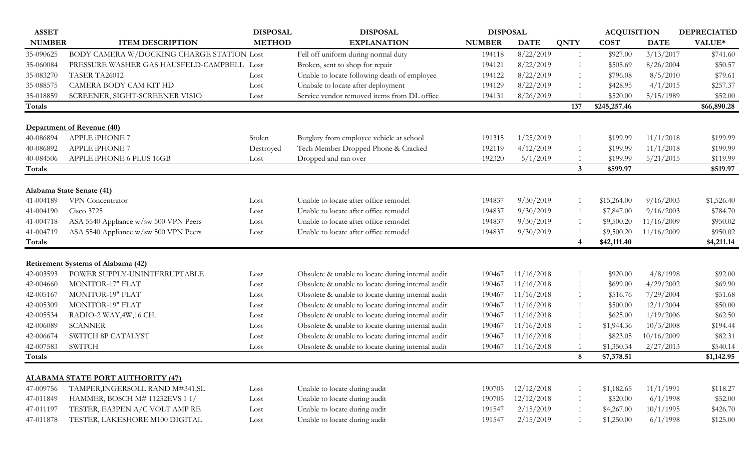| <b>ASSET</b>  |                                            | <b>DISPOSAL</b> | <b>DISPOSAL</b>                                   | <b>DISPOSAL</b> |             |                | <b>ACQUISITION</b> |             | <b>DEPRECIATED</b> |
|---------------|--------------------------------------------|-----------------|---------------------------------------------------|-----------------|-------------|----------------|--------------------|-------------|--------------------|
| <b>NUMBER</b> | <b>ITEM DESCRIPTION</b>                    | <b>METHOD</b>   | <b>EXPLANATION</b>                                | <b>NUMBER</b>   | <b>DATE</b> | <b>QNTY</b>    | <b>COST</b>        | <b>DATE</b> | VALUE*             |
| 35-090625     | BODY CAMERA W/DOCKING CHARGE STATION Lost  |                 | Fell off uniform during normal duty               | 194118          | 8/22/2019   | 1              | \$927.00           | 3/13/2017   | \$741.60           |
| 35-060084     | PRESSURE WASHER GAS HAUSFELD-CAMPBELL Lost |                 | Broken, sent to shop for repair                   | 194121          | 8/22/2019   | 1              | \$505.69           | 8/26/2004   | \$50.57            |
| 35-083270     | TASER TA26012                              | Lost            | Unable to locate following death of employee      | 194122          | 8/22/2019   | 1              | \$796.08           | 8/5/2010    | \$79.61            |
| 35-088575     | CAMERA BODY CAM KIT HD                     | Lost            | Unabale to locate after deployment                | 194129          | 8/22/2019   | $\overline{1}$ | \$428.95           | 4/1/2015    | \$257.37           |
| 35-018859     | SCREENER, SIGHT-SCREENER VISIO             | Lost            | Service vendor removed items from DL office       | 194131          | 8/26/2019   |                | \$520.00           | 5/15/1989   | \$52.00            |
| Totals        |                                            |                 |                                                   |                 |             | 137            | \$245,257.46       |             | \$66,890.28        |
|               |                                            |                 |                                                   |                 |             |                |                    |             |                    |
|               | Department of Revenue (40)                 |                 |                                                   |                 |             |                |                    |             |                    |
| 40-086894     | APPLE iPHONE 7                             | Stolen          | Burglary from employee vehicle at school          | 191315          | 1/25/2019   | $\mathbf{1}$   | \$199.99           | 11/1/2018   | \$199.99           |
| 40-086892     | APPLE iPHONE 7                             | Destroyed       | Tech Member Dropped Phone & Cracked               | 192119          | 4/12/2019   | $\mathbf{1}$   | \$199.99           | 11/1/2018   | \$199.99           |
| 40-084506     | APPLE iPHONE 6 PLUS 16GB                   | Lost            | Dropped and ran over                              | 192320          | 5/1/2019    |                | \$199.99           | 5/21/2015   | \$119.99           |
| Totals        |                                            |                 |                                                   |                 |             | $\mathbf{3}$   | \$599.97           |             | \$519.97           |
|               | Alabama State Senate (41)                  |                 |                                                   |                 |             |                |                    |             |                    |
| 41-004189     | VPN Concentrator                           | Lost            | Unable to locate after office remodel             | 194837          | 9/30/2019   | -1             | \$15,264.00        | 9/16/2003   | \$1,526.40         |
| 41-004190     | <b>Cisco 3725</b>                          | Lost            | Unable to locate after office remodel             | 194837          | 9/30/2019   | 1              | \$7,847.00         | 9/16/2003   | \$784.70           |
| 41-004718     | ASA 5540 Appliance w/sw 500 VPN Peers      | Lost            | Unable to locate after office remodel             | 194837          | 9/30/2019   |                | \$9,500.20         | 11/16/2009  | \$950.02           |
| 41-004719     | ASA 5540 Appliance w/sw 500 VPN Peers      | Lost            | Unable to locate after office remodel             | 194837          | 9/30/2019   |                | \$9,500.20         | 11/16/2009  | \$950.02           |
| Totals        |                                            |                 |                                                   |                 |             | $\overline{4}$ | \$42,111.40        |             | \$4,211.14         |
|               |                                            |                 |                                                   |                 |             |                |                    |             |                    |
|               | <b>Retirement Systems of Alabama (42)</b>  |                 |                                                   |                 |             |                |                    |             |                    |
| 42-003593     | POWER SUPPLY-UNINTERRUPTABLE               | Lost            | Obsolete & unable to locate during internal audit | 190467          | 11/16/2018  |                | \$920.00           | 4/8/1998    | \$92.00            |
| 42-004660     | <b>MONITOR-17" FLAT</b>                    | Lost            | Obsolete & unable to locate during internal audit | 190467          | 11/16/2018  | 1              | \$699.00           | 4/29/2002   | \$69.90            |
| 42-005167     | <b>MONITOR-19" FLAT</b>                    | Lost            | Obsolete & unable to locate during internal audit | 190467          | 11/16/2018  | 1              | \$516.76           | 7/29/2004   | \$51.68            |
| 42-005309     | <b>MONITOR-19" FLAT</b>                    | Lost            | Obsolete & unable to locate during internal audit | 190467          | 11/16/2018  | 1              | \$500.00           | 12/1/2004   | \$50.00            |
| 42-005534     | RADIO-2 WAY, 4W, 16 CH.                    | Lost            | Obsolete & unable to locate during internal audit | 190467          | 11/16/2018  | 1              | \$625.00           | 1/19/2006   | \$62.50            |
| 42-006089     | <b>SCANNER</b>                             | Lost            | Obsolete & unable to locate during internal audit | 190467          | 11/16/2018  | 1              | \$1,944.36         | 10/3/2008   | \$194.44           |
| 42-006674     | SWITCH 8P CATALYST                         | Lost            | Obsolete & unable to locate during internal audit | 190467          | 11/16/2018  | 1              | \$823.05           | 10/16/2009  | \$82.31            |
| 42-007583     | <b>SWITCH</b>                              | Lost            | Obsolete & unable to locate during internal audit | 190467          | 11/16/2018  |                | \$1,350.34         | 2/27/2013   | \$540.14           |
| Totals        |                                            |                 |                                                   |                 |             | 8              | \$7,378.51         |             | \$1,142.95         |
|               | <b>ALABAMA STATE PORT AUTHORITY (47)</b>   |                 |                                                   |                 |             |                |                    |             |                    |
| 47-009756     | TAMPER, INGERSOLL RAND M#341, SL           | Lost            | Unable to locate during audit                     | 190705          | 12/12/2018  | 1              | \$1,182.65         | 11/1/1991   | \$118.27           |
| 47-011849     | HAMMER, BOSCH M# 11232EVS 1 1/             | Lost            | Unable to locate during audit                     | 190705          | 12/12/2018  | 1              | \$520.00           | 6/1/1998    | \$52.00            |
| 47-011197     | TESTER, EA3PEN A/C VOLT AMP RE             | Lost            | Unable to locate during audit                     | 191547          | 2/15/2019   | 1              | \$4,267.00         | 10/1/1995   | \$426.70           |
| 47-011878     | TESTER, LAKESHORE M100 DIGITAL             | Lost            | Unable to locate during audit                     | 191547          | 2/15/2019   | 1              | \$1,250.00         | 6/1/1998    | \$125.00           |
|               |                                            |                 |                                                   |                 |             |                |                    |             |                    |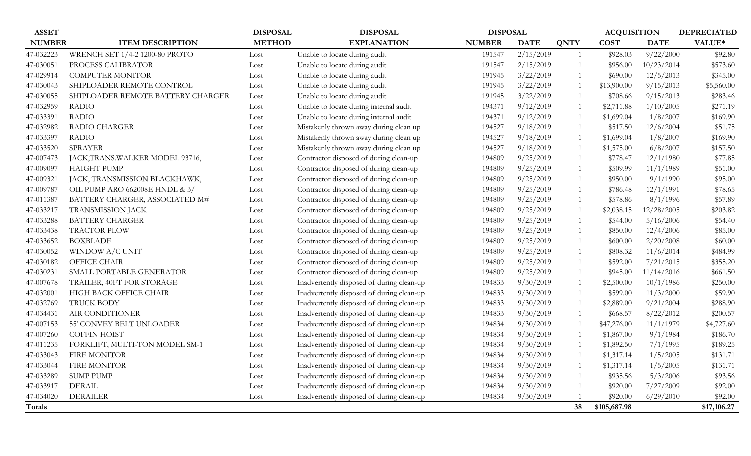| <b>ASSET</b>  |                                   | <b>DISPOSAL</b> | <b>DISPOSAL</b>                           | <b>DISPOSAL</b> |             |                | <b>ACQUISITION</b> |             | <b>DEPRECIATED</b> |
|---------------|-----------------------------------|-----------------|-------------------------------------------|-----------------|-------------|----------------|--------------------|-------------|--------------------|
| <b>NUMBER</b> | <b>ITEM DESCRIPTION</b>           | <b>METHOD</b>   | <b>EXPLANATION</b>                        | <b>NUMBER</b>   | <b>DATE</b> | <b>QNTY</b>    | <b>COST</b>        | <b>DATE</b> | VALUE*             |
| 47-032223     | WRENCH SET 1/4-2 1200-80 PROTO    | Lost            | Unable to locate during audit             | 191547          | 2/15/2019   | -1             | \$928.03           | 9/22/2000   | \$92.80            |
| 47-030051     | PROCESS CALIBRATOR                | Lost            | Unable to locate during audit             | 191547          | 2/15/2019   | $\mathbf{1}$   | \$956.00           | 10/23/2014  | \$573.60           |
| 47-029914     | <b>COMPUTER MONITOR</b>           | Lost            | Unable to locate during audit             | 191945          | 3/22/2019   |                | \$690.00           | 12/5/2013   | \$345.00           |
| 47-030043     | SHIPLOADER REMOTE CONTROL         | Lost            | Unable to locate during audit             | 191945          | 3/22/2019   | $\mathbf{1}$   | \$13,900.00        | 9/15/2013   | \$5,560.00         |
| 47-030055     | SHIPLOADER REMOTE BATTERY CHARGER | Lost            | Unable to locate during audit             | 191945          | 3/22/2019   | -1             | \$708.66           | 9/15/2013   | \$283.46           |
| 47-032959     | <b>RADIO</b>                      | Lost            | Unable to locate during internal audit    | 194371          | 9/12/2019   | -1             | \$2,711.88         | 1/10/2005   | \$271.19           |
| 47-033391     | <b>RADIO</b>                      | Lost            | Unable to locate during internal audit    | 194371          | 9/12/2019   | 1              | \$1,699.04         | 1/8/2007    | \$169.90           |
| 47-032982     | <b>RADIO CHARGER</b>              | Lost            | Mistakenly thrown away during clean up    | 194527          | 9/18/2019   | -1             | \$517.50           | 12/6/2004   | \$51.75            |
| 47-033397     | <b>RADIO</b>                      | Lost            | Mistakenly thrown away during clean up    | 194527          | 9/18/2019   | 1              | \$1,699.04         | 1/8/2007    | \$169.90           |
| 47-033520     | <b>SPRAYER</b>                    | Lost            | Mistakenly thrown away during clean up    | 194527          | 9/18/2019   | -1             | \$1,575.00         | 6/8/2007    | \$157.50           |
| 47-007473     | JACK, TRANS. WALKER MODEL 93716,  | Lost            | Contractor disposed of during clean-up    | 194809          | 9/25/2019   | 1              | \$778.47           | 12/1/1980   | \$77.85            |
| 47-009097     | <b>HAIGHT PUMP</b>                | Lost            | Contractor disposed of during clean-up    | 194809          | 9/25/2019   | $\overline{1}$ | \$509.99           | 11/1/1989   | \$51.00            |
| 47-009321     | JACK, TRANSMISSION BLACKHAWK,     | Lost            | Contractor disposed of during clean-up    | 194809          | 9/25/2019   | $\overline{1}$ | \$950.00           | 9/1/1990    | \$95.00            |
| 47-009787     | OIL PUMP ARO 662008E HNDL & 3/    | Lost            | Contractor disposed of during clean-up    | 194809          | 9/25/2019   | $\overline{1}$ | \$786.48           | 12/1/1991   | \$78.65            |
| 47-011387     | BATTERY CHARGER, ASSOCIATED M#    | Lost            | Contractor disposed of during clean-up    | 194809          | 9/25/2019   | $\overline{1}$ | \$578.86           | 8/1/1996    | \$57.89            |
| 47-033217     | <b>TRANSMISSION JACK</b>          | Lost            | Contractor disposed of during clean-up    | 194809          | 9/25/2019   | -1             | \$2,038.15         | 12/28/2005  | \$203.82           |
| 47-033288     | <b>BATTERY CHARGER</b>            | Lost            | Contractor disposed of during clean-up    | 194809          | 9/25/2019   | $\overline{1}$ | \$544.00           | 5/16/2006   | \$54.40            |
| 47-033438     | TRACTOR PLOW                      | Lost            | Contractor disposed of during clean-up    | 194809          | 9/25/2019   | $\overline{1}$ | \$850.00           | 12/4/2006   | \$85.00            |
| 47-033652     | <b>BOXBLADE</b>                   | Lost            | Contractor disposed of during clean-up    | 194809          | 9/25/2019   | $\overline{1}$ | \$600.00           | 2/20/2008   | \$60.00            |
| 47-030052     | WINDOW A/C UNIT                   | Lost            | Contractor disposed of during clean-up    | 194809          | 9/25/2019   | $\mathbf{1}$   | \$808.32           | 11/6/2014   | \$484.99           |
| 47-030182     | OFFICE CHAIR                      | Lost            | Contractor disposed of during clean-up    | 194809          | 9/25/2019   | $\overline{1}$ | \$592.00           | 7/21/2015   | \$355.20           |
| 47-030231     | SMALL PORTABLE GENERATOR          | Lost            | Contractor disposed of during clean-up    | 194809          | 9/25/2019   | $\mathbf{1}$   | \$945.00           | 11/14/2016  | \$661.50           |
| 47-007678     | TRAILER, 40FT FOR STORAGE         | Lost            | Inadvertently disposed of during clean-up | 194833          | 9/30/2019   | $\mathbf{1}$   | \$2,500.00         | 10/1/1986   | \$250.00           |
| 47-032001     | HIGH BACK OFFICE CHAIR            | Lost            | Inadvertently disposed of during clean-up | 194833          | 9/30/2019   | $\mathbf{1}$   | \$599.00           | 11/3/2000   | \$59.90            |
| 47-032769     | <b>TRUCK BODY</b>                 | Lost            | Inadvertently disposed of during clean-up | 194833          | 9/30/2019   | 1              | \$2,889.00         | 9/21/2004   | \$288.90           |
| 47-034431     | AIR CONDITIONER                   | Lost            | Inadvertently disposed of during clean-up | 194833          | 9/30/2019   | 1              | \$668.57           | 8/22/2012   | \$200.57           |
| 47-007153     | 55' CONVEY BELT UNLOADER          | Lost            | Inadvertently disposed of during clean-up | 194834          | 9/30/2019   | 1              | \$47,276.00        | 11/1/1979   | \$4,727.60         |
| 47-007260     | <b>COFFIN HOIST</b>               | Lost            | Inadvertently disposed of during clean-up | 194834          | 9/30/2019   | -1             | \$1,867.00         | 9/1/1984    | \$186.70           |
| 47-011235     | FORKLIFT, MULTI-TON MODEL SM-1    | Lost            | Inadvertently disposed of during clean-up | 194834          | 9/30/2019   | 1              | \$1,892.50         | 7/1/1995    | \$189.25           |
| 47-033043     | <b>FIRE MONITOR</b>               | Lost            | Inadvertently disposed of during clean-up | 194834          | 9/30/2019   | 1              | \$1,317.14         | 1/5/2005    | \$131.71           |
| 47-033044     | FIRE MONITOR                      | Lost            | Inadvertently disposed of during clean-up | 194834          | 9/30/2019   | -1             | \$1,317.14         | 1/5/2005    | \$131.71           |
| 47-033289     | <b>SUMP PUMP</b>                  | Lost            | Inadvertently disposed of during clean-up | 194834          | 9/30/2019   | 1              | \$935.56           | 5/3/2006    | \$93.56            |
| 47-033917     | <b>DERAIL</b>                     | Lost            | Inadvertently disposed of during clean-up | 194834          | 9/30/2019   | $\mathbf{1}$   | \$920.00           | 7/27/2009   | \$92.00            |
| 47-034020     | <b>DERAILER</b>                   | Lost            | Inadvertently disposed of during clean-up | 194834          | 9/30/2019   |                | \$920.00           | 6/29/2010   | \$92.00            |
| <b>Totals</b> |                                   |                 |                                           |                 |             | 38             | \$105,687.98       |             | \$17,106.27        |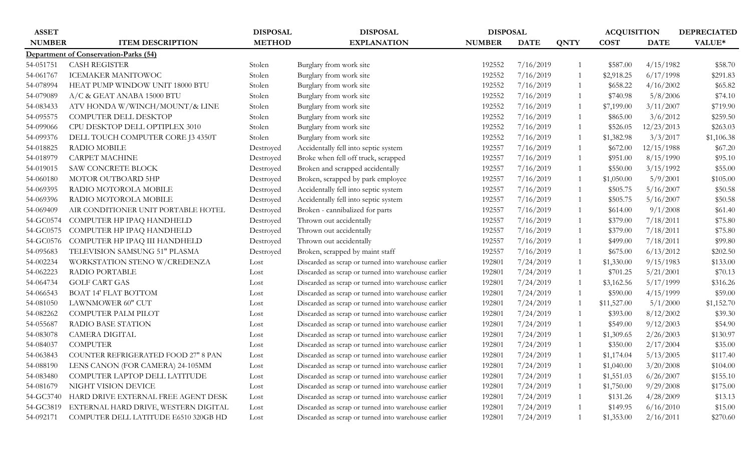| <b>ASSET</b>  |                                            | <b>DISPOSAL</b> | <b>DISPOSAL</b>                                     | <b>DISPOSAL</b> |             |                | <b>ACQUISITION</b> |             | <b>DEPRECIATED</b> |
|---------------|--------------------------------------------|-----------------|-----------------------------------------------------|-----------------|-------------|----------------|--------------------|-------------|--------------------|
| <b>NUMBER</b> | <b>ITEM DESCRIPTION</b>                    | <b>METHOD</b>   | <b>EXPLANATION</b>                                  | <b>NUMBER</b>   | <b>DATE</b> | <b>QNTY</b>    | <b>COST</b>        | <b>DATE</b> | VALUE*             |
|               | Department of Conservation-Parks (54)      |                 |                                                     |                 |             |                |                    |             |                    |
| 54-051751     | <b>CASH REGISTER</b>                       | Stolen          | Burglary from work site                             | 192552          | 7/16/2019   |                | \$587.00           | 4/15/1982   | \$58.70            |
| 54-061767     | <b>ICEMAKER MANITOWOC</b>                  | Stolen          | Burglary from work site                             | 192552          | 7/16/2019   | $\overline{1}$ | \$2,918.25         | 6/17/1998   | \$291.83           |
| 54-078994     | HEAT PUMP WINDOW UNIT 18000 BTU            | Stolen          | Burglary from work site                             | 192552          | 7/16/2019   | $\mathbf{1}$   | \$658.22           | 4/16/2002   | \$65.82            |
| 54-079089     | A/C & GEAT ANABA 15000 BTU                 | Stolen          | Burglary from work site                             | 192552          | 7/16/2019   | 1              | \$740.98           | 5/8/2006    | \$74.10            |
| 54-083433     | ATV HONDA W/WINCH/MOUNT/& LINE             | Stolen          | Burglary from work site                             | 192552          | 7/16/2019   | 1              | \$7,199.00         | 3/11/2007   | \$719.90           |
| 54-095575     | COMPUTER DELL DESKTOP                      | Stolen          | Burglary from work site                             | 192552          | 7/16/2019   | $\mathbf{1}$   | \$865.00           | 3/6/2012    | \$259.50           |
| 54-099066     | CPU DESKTOP DELL OPTIPLEX 3010             | Stolen          | Burglary from work site                             | 192552          | 7/16/2019   | 1              | \$526.05           | 12/23/2013  | \$263.03           |
| 54-099376     | DELL TOUCH COMPUTER CORE J3 4350T          | Stolen          | Burglary from work site                             | 192552          | 7/16/2019   | 1              | \$1,382.98         | 3/3/2017    | \$1,106.38         |
| 54-018825     | RADIO MOBILE                               | Destroyed       | Accidentally fell into septic system                | 192557          | 7/16/2019   | $\mathbf{1}$   | \$672.00           | 12/15/1988  | \$67.20            |
| 54-018979     | <b>CARPET MACHINE</b>                      | Destroyed       | Broke when fell off truck, scrapped                 | 192557          | 7/16/2019   | 1              | \$951.00           | 8/15/1990   | \$95.10            |
| 54-019015     | SAW CONCRETE BLOCK                         | Destroyed       | Broken and scrapped accidentally                    | 192557          | 7/16/2019   | 1              | \$550.00           | 3/15/1992   | \$55.00            |
| 54-060180     | MOTOR OUTBOARD 5HP                         | Destroyed       | Broken, scrapped by park employee                   | 192557          | 7/16/2019   | 1              | \$1,050.00         | 5/9/2001    | \$105.00           |
| 54-069395     | RADIO MOTOROLA MOBILE                      | Destroyed       | Accidentally fell into septic system                | 192557          | 7/16/2019   | 1              | \$505.75           | 5/16/2007   | \$50.58            |
| 54-069396     | RADIO MOTOROLA MOBILE                      | Destroyed       | Accidentally fell into septic system                | 192557          | 7/16/2019   | 1              | \$505.75           | 5/16/2007   | \$50.58            |
| 54-069409     | AIR CONDITIONER UNIT PORTABLE HOTEL        | Destroyed       | Broken - cannibalized for parts                     | 192557          | 7/16/2019   | 1              | \$614.00           | 9/1/2008    | \$61.40            |
| 54-GC0574     | COMPUTER HP IPAQ HANDHELD                  | Destroyed       | Thrown out accidentally                             | 192557          | 7/16/2019   | 1              | \$379.00           | 7/18/2011   | \$75.80            |
| 54-GC0575     | COMPUTER HP IPAQ HANDHELD                  | Destroyed       | Thrown out accidentally                             | 192557          | 7/16/2019   | 1              | \$379.00           | 7/18/2011   | \$75.80            |
| 54-GC0576     | COMPUTER HP IPAQ III HANDHELD              | Destroyed       | Thrown out accidentally                             | 192557          | 7/16/2019   | 1              | \$499.00           | 7/18/2011   | \$99.80            |
| 54-095683     | TELEVISION SAMSUNG 51" PLASMA              | Destroyed       | Broken, scrapped by maint staff                     | 192557          | 7/16/2019   | 1              | \$675.00           | 6/13/2012   | \$202.50           |
| 54-002234     | WORKSTATION STENO W/CREDENZA               | Lost            | Discarded as scrap or turned into warehouse earlier | 192801          | 7/24/2019   | 1              | \$1,330.00         | 9/15/1983   | \$133.00           |
| 54-062223     | RADIO PORTABLE                             | Lost            | Discarded as scrap or turned into warehouse earlier | 192801          | 7/24/2019   | 1              | \$701.25           | 5/21/2001   | \$70.13            |
| 54-064734     | <b>GOLF CART GAS</b>                       | Lost            | Discarded as scrap or turned into warehouse earlier | 192801          | 7/24/2019   | 1              | \$3,162.56         | 5/17/1999   | \$316.26           |
| 54-066543     | BOAT 14' FLAT BOTTOM                       | Lost            | Discarded as scrap or turned into warehouse earlier | 192801          | 7/24/2019   | 1              | \$590.00           | 4/15/1999   | \$59.00            |
| 54-081050     | LAWNMOWER 60" CUT                          | Lost            | Discarded as scrap or turned into warehouse earlier | 192801          | 7/24/2019   | $\overline{1}$ | \$11,527.00        | 5/1/2000    | \$1,152.70         |
| 54-082262     | COMPUTER PALM PILOT                        | Lost            | Discarded as scrap or turned into warehouse earlier | 192801          | 7/24/2019   |                | \$393.00           | 8/12/2002   | \$39.30            |
| 54-055687     | <b>RADIO BASE STATION</b>                  | Lost            | Discarded as scrap or turned into warehouse earlier | 192801          | 7/24/2019   | 1              | \$549.00           | 9/12/2003   | \$54.90            |
| 54-083078     | <b>CAMERA DIGITAL</b>                      | Lost            | Discarded as scrap or turned into warehouse earlier | 192801          | 7/24/2019   | 1              | \$1,309.65         | 2/26/2003   | \$130.97           |
| 54-084037     | <b>COMPUTER</b>                            | Lost            | Discarded as scrap or turned into warehouse earlier | 192801          | 7/24/2019   | $\mathbf{1}$   | \$350.00           | 2/17/2004   | \$35.00            |
| 54-063843     | <b>COUNTER REFRIGERATED FOOD 27" 8 PAN</b> | Lost            | Discarded as scrap or turned into warehouse earlier | 192801          | 7/24/2019   | 1              | \$1,174.04         | 5/13/2005   | \$117.40           |
| 54-088190     | LENS CANON (FOR CAMERA) 24-105MM           | Lost            | Discarded as scrap or turned into warehouse earlier | 192801          | 7/24/2019   | $\mathbf{1}$   | \$1,040.00         | 3/20/2008   | \$104.00           |
| 54-083480     | COMPUTER LAPTOP DELL LATITUDE              | Lost            | Discarded as scrap or turned into warehouse earlier | 192801          | 7/24/2019   |                | \$1,551.03         | 6/26/2007   | \$155.10           |
| 54-081679     | NIGHT VISION DEVICE                        | Lost            | Discarded as scrap or turned into warehouse earlier | 192801          | 7/24/2019   | 1              | \$1,750.00         | 9/29/2008   | \$175.00           |
| 54-GC3740     | HARD DRIVE EXTERNAL FREE AGENT DESK        | Lost            | Discarded as scrap or turned into warehouse earlier | 192801          | 7/24/2019   | 1              | \$131.26           | 4/28/2009   | \$13.13            |
| 54-GC3819     | EXTERNAL HARD DRIVE, WESTERN DIGITAL       | Lost            | Discarded as scrap or turned into warehouse earlier | 192801          | 7/24/2019   | 1              | \$149.95           | 6/16/2010   | \$15.00            |
| 54-092171     | COMPUTER DELL LATITUDE E6510 320GB HD      | Lost            | Discarded as scrap or turned into warehouse earlier | 192801          | 7/24/2019   | 1              | \$1,353.00         | 2/16/2011   | \$270.60           |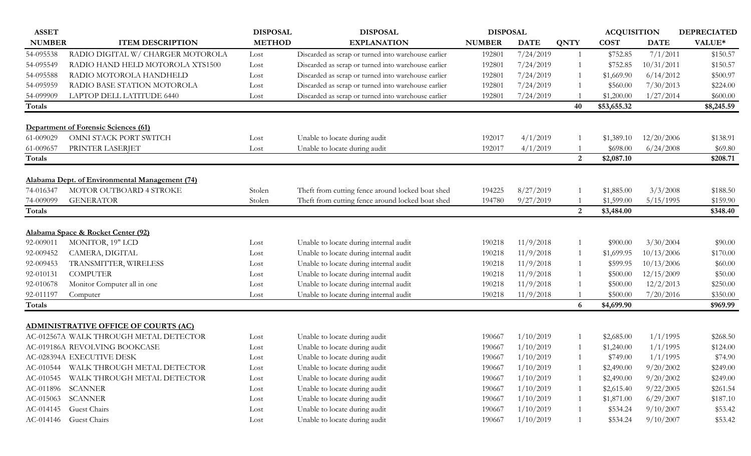| <b>ASSET</b>  |                                                | <b>DISPOSAL</b> | <b>DISPOSAL</b>                                     | <b>DISPOSAL</b> |             |                | <b>ACQUISITION</b> |             | <b>DEPRECIATED</b> |
|---------------|------------------------------------------------|-----------------|-----------------------------------------------------|-----------------|-------------|----------------|--------------------|-------------|--------------------|
| <b>NUMBER</b> | <b>ITEM DESCRIPTION</b>                        | <b>METHOD</b>   | <b>EXPLANATION</b>                                  | <b>NUMBER</b>   | <b>DATE</b> | <b>QNTY</b>    | <b>COST</b>        | <b>DATE</b> | VALUE*             |
| 54-095538     | RADIO DIGITAL W/ CHARGER MOTOROLA              | Lost            | Discarded as scrap or turned into warehouse earlier | 192801          | 7/24/2019   | -1             | \$752.85           | 7/1/2011    | \$150.57           |
| 54-095549     | RADIO HAND HELD MOTOROLA XTS1500               | Lost            | Discarded as scrap or turned into warehouse earlier | 192801          | 7/24/2019   |                | \$752.85           | 10/31/2011  | \$150.57           |
| 54-095588     | RADIO MOTOROLA HANDHELD                        | Lost            | Discarded as scrap or turned into warehouse earlier | 192801          | 7/24/2019   |                | \$1,669.90         | 6/14/2012   | \$500.97           |
| 54-095959     | RADIO BASE STATION MOTOROLA                    | Lost            | Discarded as scrap or turned into warehouse earlier | 192801          | 7/24/2019   |                | \$560.00           | 7/30/2013   | \$224.00           |
| 54-099909     | LAPTOP DELL LATITUDE 6440                      | Lost            | Discarded as scrap or turned into warehouse earlier | 192801          | 7/24/2019   |                | \$1,200.00         | 1/27/2014   | \$600.00           |
| Totals        |                                                |                 |                                                     |                 |             | 40             | \$53,655.32        |             | \$8,245.59         |
|               | <b>Department of Forensic Sciences (61)</b>    |                 |                                                     |                 |             |                |                    |             |                    |
| 61-009029     | OMNI STACK PORT SWITCH                         | Lost            | Unable to locate during audit                       | 192017          | 4/1/2019    |                | \$1,389.10         | 12/20/2006  | \$138.91           |
| 61-009657     | PRINTER LASERJET                               | Lost            | Unable to locate during audit                       | 192017          | 4/1/2019    |                | \$698.00           | 6/24/2008   | \$69.80            |
| Totals        |                                                |                 |                                                     |                 |             | 2              | \$2,087.10         |             | \$208.71           |
|               | Alabama Dept. of Environmental Management (74) |                 |                                                     |                 |             |                |                    |             |                    |
| 74-016347     | MOTOR OUTBOARD 4 STROKE                        | Stolen          | Theft from cutting fence around locked boat shed    | 194225          | 8/27/2019   |                | \$1,885.00         | 3/3/2008    | \$188.50           |
| 74-009099     | <b>GENERATOR</b>                               | Stolen          | Theft from cutting fence around locked boat shed    | 194780          | 9/27/2019   |                | \$1,599.00         | 5/15/1995   | \$159.90           |
| Totals        |                                                |                 |                                                     |                 |             | 2              | \$3,484.00         |             | \$348.40           |
|               | Alabama Space & Rocket Center (92)             |                 |                                                     |                 |             |                |                    |             |                    |
| 92-009011     | MONITOR, 19" LCD                               | Lost            | Unable to locate during internal audit              | 190218          | 11/9/2018   |                | \$900.00           | 3/30/2004   | \$90.00            |
| 92-009452     | CAMERA, DIGITAL                                | Lost            | Unable to locate during internal audit              | 190218          | 11/9/2018   | $\overline{1}$ | \$1,699.95         | 10/13/2006  | \$170.00           |
| 92-009453     | TRANSMITTER, WIRELESS                          | Lost            | Unable to locate during internal audit              | 190218          | 11/9/2018   | -1             | \$599.95           | 10/13/2006  | \$60.00            |
| 92-010131     | <b>COMPUTER</b>                                | Lost            | Unable to locate during internal audit              | 190218          | 11/9/2018   |                | \$500.00           | 12/15/2009  | \$50.00            |
| 92-010678     | Monitor Computer all in one                    | Lost            | Unable to locate during internal audit              | 190218          | 11/9/2018   |                | \$500.00           | 12/2/2013   | \$250.00           |
| 92-011197     | Computer                                       | Lost            | Unable to locate during internal audit              | 190218          | 11/9/2018   |                | \$500.00           | 7/20/2016   | \$350.00           |
| Totals        |                                                |                 |                                                     |                 |             | 6              | \$4,699.90         |             | \$969.99           |
|               | <b>ADMINISTRATIVE OFFICE OF COURTS (AC)</b>    |                 |                                                     |                 |             |                |                    |             |                    |
|               | AC-012567A WALK THROUGH METAL DETECTOR         | Lost            | Unable to locate during audit                       | 190667          | 1/10/2019   |                | \$2,685.00         | 1/1/1995    | \$268.50           |
|               | AC-019186A REVOLVING BOOKCASE                  | Lost            | Unable to locate during audit                       | 190667          | 1/10/2019   |                | \$1,240.00         | 1/1/1995    | \$124.00           |
|               | AC-028394A EXECUTIVE DESK                      | Lost            | Unable to locate during audit                       | 190667          | 1/10/2019   |                | \$749.00           | 1/1/1995    | \$74.90            |
| AC-010544     | WALK THROUGH METAL DETECTOR                    | Lost            | Unable to locate during audit                       | 190667          | 1/10/2019   |                | \$2,490.00         | 9/20/2002   | \$249.00           |
| AC-010545     | WALK THROUGH METAL DETECTOR                    | Lost            | Unable to locate during audit                       | 190667          | 1/10/2019   |                | \$2,490.00         | 9/20/2002   | \$249.00           |
|               | AC-011896 SCANNER                              | Lost            | Unable to locate during audit                       | 190667          | 1/10/2019   |                | \$2,615.40         | 9/22/2005   | \$261.54           |
| AC-015063     | <b>SCANNER</b>                                 | Lost            | Unable to locate during audit                       | 190667          | 1/10/2019   |                | \$1,871.00         | 6/29/2007   | \$187.10           |
|               | AC-014145 Guest Chairs                         | Lost            | Unable to locate during audit                       | 190667          | 1/10/2019   |                | \$534.24           | 9/10/2007   | \$53.42            |
|               | AC-014146 Guest Chairs                         | Lost            | Unable to locate during audit                       | 190667          | 1/10/2019   |                | \$534.24           | 9/10/2007   | \$53.42            |
|               |                                                |                 |                                                     |                 |             |                |                    |             |                    |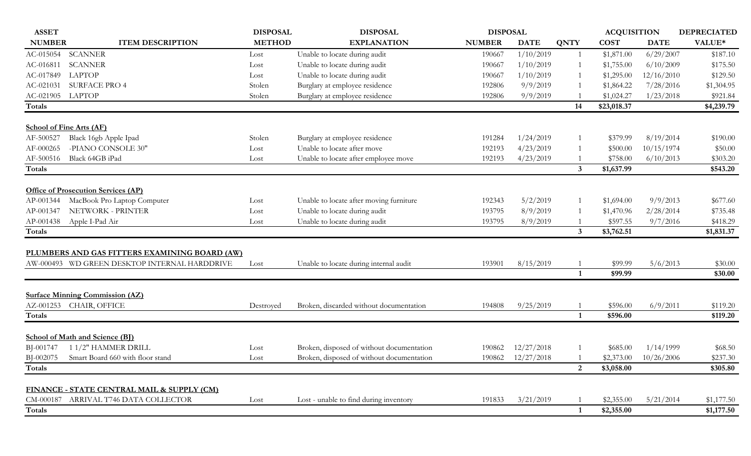| <b>ASSET</b>               |                                               | <b>DISPOSAL</b> | <b>DISPOSAL</b>                           | <b>DISPOSAL</b> |             |                | <b>ACQUISITION</b> |             | <b>DEPRECIATED</b> |
|----------------------------|-----------------------------------------------|-----------------|-------------------------------------------|-----------------|-------------|----------------|--------------------|-------------|--------------------|
| <b>NUMBER</b>              | <b>ITEM DESCRIPTION</b>                       | <b>METHOD</b>   | <b>EXPLANATION</b>                        | <b>NUMBER</b>   | <b>DATE</b> | <b>QNTY</b>    | <b>COST</b>        | <b>DATE</b> | VALUE*             |
| AC-015054                  | SCANNER                                       | Lost            | Unable to locate during audit             | 190667          | 1/10/2019   |                | \$1,871.00         | 6/29/2007   | \$187.10           |
| AC-016811                  | <b>SCANNER</b>                                | Lost            | Unable to locate during audit             | 190667          | 1/10/2019   |                | \$1,755.00         | 6/10/2009   | \$175.50           |
| AC-017849                  | <b>LAPTOP</b>                                 | Lost            | Unable to locate during audit             | 190667          | 1/10/2019   |                | \$1,295.00         | 12/16/2010  | \$129.50           |
| AC-021031                  | <b>SURFACE PRO 4</b>                          | Stolen          | Burglary at employee residence            | 192806          | 9/9/2019    |                | \$1,864.22         | 7/28/2016   | \$1,304.95         |
| AC-021905 LAPTOP           |                                               | Stolen          | Burglary at employee residence            | 192806          | 9/9/2019    |                | \$1,024.27         | 1/23/2018   | \$921.84           |
| Totals                     |                                               |                 |                                           |                 |             | 14             | \$23,018.37        |             | \$4,239.79         |
|                            |                                               |                 |                                           |                 |             |                |                    |             |                    |
|                            | <b>School of Fine Arts (AF)</b>               |                 |                                           |                 |             |                |                    |             |                    |
| AF-500527                  | Black 16gb Apple Ipad                         | Stolen          | Burglary at employee residence            | 191284          | 1/24/2019   |                | \$379.99           | 8/19/2014   | \$190.00           |
| AF-000265                  | -PIANO CONSOLE 30"                            | Lost            | Unable to locate after move               | 192193          | 4/23/2019   |                | \$500.00           | 10/15/1974  | \$50.00            |
| AF-500516                  | Black 64GB iPad                               | Lost            | Unable to locate after employee move      | 192193          | 4/23/2019   |                | \$758.00           | 6/10/2013   | \$303.20           |
| Totals                     |                                               |                 |                                           |                 |             | $\mathbf{3}$   | \$1,637.99         |             | \$543.20           |
|                            | <b>Office of Prosecution Services (AP)</b>    |                 |                                           |                 |             |                |                    |             |                    |
| AP-001344                  | MacBook Pro Laptop Computer                   | Lost            | Unable to locate after moving furniture   | 192343          | 5/2/2019    |                | \$1,694.00         | 9/9/2013    | \$677.60           |
| AP-001347                  | NETWORK - PRINTER                             | Lost            | Unable to locate during audit             | 193795          | 8/9/2019    |                | \$1,470.96         | 2/28/2014   | \$735.48           |
| AP-001438                  | Apple I-Pad Air                               | Lost            | Unable to locate during audit             | 193795          | 8/9/2019    |                | \$597.55           | 9/7/2016    | \$418.29           |
| Totals                     |                                               |                 |                                           |                 |             | $\mathbf{3}$   | \$3,762.51         |             | \$1,831.37         |
|                            |                                               |                 |                                           |                 |             |                |                    |             |                    |
|                            | PLUMBERS AND GAS FITTERS EXAMINING BOARD (AW) |                 |                                           |                 |             |                |                    |             |                    |
|                            | AW-000493 WD GREEN DESKTOP INTERNAL HARDDRIVE | Lost            | Unable to locate during internal audit    | 193901          | 8/15/2019   |                | \$99.99            | 5/6/2013    | \$30.00            |
|                            |                                               |                 |                                           |                 |             | $\mathbf{1}$   | \$99.99            |             | \$30.00            |
|                            |                                               |                 |                                           |                 |             |                |                    |             |                    |
|                            | <b>Surface Minning Commission (AZ)</b>        |                 |                                           |                 |             |                |                    |             |                    |
| AZ-001253                  | CHAIR, OFFICE                                 | Destroyed       | Broken, discarded without documentation   | 194808          | 9/25/2019   |                | \$596.00           | 6/9/2011    | \$119.20           |
| Totals                     |                                               |                 |                                           |                 |             | $\mathbf{1}$   | \$596.00           |             | \$119.20           |
|                            |                                               |                 |                                           |                 |             |                |                    |             |                    |
|                            | <b>School of Math and Science (BI)</b>        |                 |                                           |                 |             |                |                    |             |                    |
| BJ-001747                  | 11/2" HAMMER DRILL                            | Lost            | Broken, disposed of without documentation | 190862          | 12/27/2018  |                | \$685.00           | 1/14/1999   | \$68.50            |
| BJ-002075<br><b>Totals</b> | Smart Board 660 with floor stand              | Lost            | Broken, disposed of without documentation | 190862          | 12/27/2018  |                | \$2,373.00         | 10/26/2006  | \$237.30           |
|                            |                                               |                 |                                           |                 |             | $\overline{2}$ | \$3,058.00         |             | \$305.80           |
|                            | FINANCE - STATE CENTRAL MAIL & SUPPLY (CM)    |                 |                                           |                 |             |                |                    |             |                    |
| CM-000187                  | ARRIVAL T746 DATA COLLECTOR                   | Lost            | Lost - unable to find during inventory    | 191833          | 3/21/2019   |                | \$2,355.00         | 5/21/2014   | \$1,177.50         |
| <b>Totals</b>              |                                               |                 |                                           |                 |             | 1              | \$2,355.00         |             | \$1,177.50         |
|                            |                                               |                 |                                           |                 |             |                |                    |             |                    |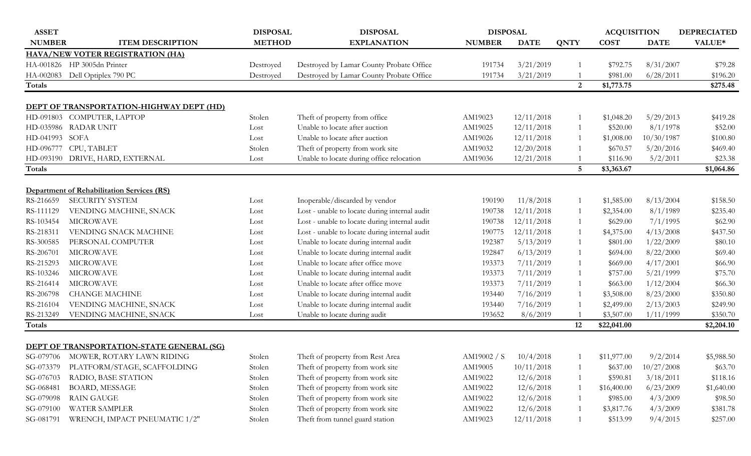| <b>ASSET</b>  |                                                   | <b>DISPOSAL</b> | <b>DISPOSAL</b>                               | <b>DISPOSAL</b> |             |              | <b>ACQUISITION</b> |             | <b>DEPRECIATED</b> |
|---------------|---------------------------------------------------|-----------------|-----------------------------------------------|-----------------|-------------|--------------|--------------------|-------------|--------------------|
| <b>NUMBER</b> | <b>ITEM DESCRIPTION</b>                           | <b>METHOD</b>   | <b>EXPLANATION</b>                            | <b>NUMBER</b>   | <b>DATE</b> | <b>QNTY</b>  | <b>COST</b>        | <b>DATE</b> | VALUE*             |
|               | <b>HAVA/NEW VOTER REGISTRATION (HA)</b>           |                 |                                               |                 |             |              |                    |             |                    |
|               | HA-001826 HP 3005dn Printer                       | Destroyed       | Destroyed by Lamar County Probate Office      | 191734          | 3/21/2019   |              | \$792.75           | 8/31/2007   | \$79.28            |
| HA-002083     | Dell Optiplex 790 PC                              | Destroyed       | Destroyed by Lamar County Probate Office      | 191734          | 3/21/2019   |              | \$981.00           | 6/28/2011   | \$196.20           |
| <b>Totals</b> |                                                   |                 |                                               |                 |             | 2            | \$1,773.75         |             | \$275.48           |
|               | DEPT OF TRANSPORTATION-HIGHWAY DEPT (HD)          |                 |                                               |                 |             |              |                    |             |                    |
| HD-091803     | COMPUTER, LAPTOP                                  | Stolen          | Theft of property from office                 | AM19023         | 12/11/2018  |              | \$1,048.20         | 5/29/2013   | \$419.28           |
| HD-035986     | <b>RADAR UNIT</b>                                 | Lost            | Unable to locate after auction                | AM19025         | 12/11/2018  |              | \$520.00           | 8/1/1978    | \$52.00            |
| HD-041993     | SOFA                                              | Lost            | Unable to locate after auction                | AM19026         | 12/11/2018  | $\mathbf{1}$ | \$1,008.00         | 10/30/1987  | \$100.80           |
| HD-096777     | CPU, TABLET                                       | Stolen          | Theft of property from work site              | AM19032         | 12/20/2018  |              | \$670.57           | 5/20/2016   | \$469.40           |
| HD-093190     | DRIVE, HARD, EXTERNAL                             | Lost            | Unable to locate during office relocation     | AM19036         | 12/21/2018  |              | \$116.90           | 5/2/2011    | \$23.38            |
| Totals        |                                                   |                 |                                               |                 |             | 5            | \$3,363.67         |             | \$1,064.86         |
|               |                                                   |                 |                                               |                 |             |              |                    |             |                    |
|               | <b>Department of Rehabilitation Services (RS)</b> |                 |                                               |                 |             |              |                    |             |                    |
| RS-216659     | <b>SECURITY SYSTEM</b>                            | Lost            | Inoperable/discarded by vendor                | 190190          | 11/8/2018   | -1           | \$1,585.00         | 8/13/2004   | \$158.50           |
| RS-111129     | VENDING MACHINE, SNACK                            | Lost            | Lost - unable to locate during internal audit | 190738          | 12/11/2018  |              | \$2,354.00         | 8/1/1989    | \$235.40           |
| RS-103454     | <b>MICROWAVE</b>                                  | Lost            | Lost - unable to locate during internal audit | 190738          | 12/11/2018  |              | \$629.00           | 7/1/1995    | \$62.90            |
| RS-218311     | VENDING SNACK MACHINE                             | Lost            | Lost - unable to locate during internal audit | 190775          | 12/11/2018  |              | \$4,375.00         | 4/13/2008   | \$437.50           |
| RS-300585     | PERSONAL COMPUTER                                 | Lost            | Unable to locate during internal audit        | 192387          | 5/13/2019   | -1           | \$801.00           | 1/22/2009   | \$80.10            |
| RS-206701     | <b>MICROWAVE</b>                                  | Lost            | Unable to locate during internal audit        | 192847          | 6/13/2019   | 1            | \$694.00           | 8/22/2000   | \$69.40            |
| RS-215293     | <b>MICROWAVE</b>                                  | Lost            | Unable to locate after office move            | 193373          | 7/11/2019   | 1            | \$669.00           | 4/17/2001   | \$66.90            |
| RS-103246     | <b>MICROWAVE</b>                                  | Lost            | Unable to locate during internal audit        | 193373          | 7/11/2019   | 1            | \$757.00           | 5/21/1999   | \$75.70            |
| RS-216414     | <b>MICROWAVE</b>                                  | Lost            | Unable to locate after office move            | 193373          | 7/11/2019   | $\mathbf{1}$ | \$663.00           | 1/12/2004   | \$66.30            |
| RS-206798     | <b>CHANGE MACHINE</b>                             | Lost            | Unable to locate during internal audit        | 193440          | 7/16/2019   |              | \$3,508.00         | 8/23/2000   | \$350.80           |
| RS-216104     | VENDING MACHINE, SNACK                            | Lost            | Unable to locate during internal audit        | 193440          | 7/16/2019   |              | \$2,499.00         | 2/13/2003   | \$249.90           |
| RS-213249     | VENDING MACHINE, SNACK                            | Lost            | Unable to locate during audit                 | 193652          | 8/6/2019    |              | \$3,507.00         | 1/11/1999   | \$350.70           |
| Totals        |                                                   |                 |                                               |                 |             | 12           | \$22,041.00        |             | \$2,204.10         |
|               | <b>DEPT OF TRANSPORTATION-STATE GENERAL (SG)</b>  |                 |                                               |                 |             |              |                    |             |                    |
|               | SG-079706 MOWER, ROTARY LAWN RIDING               | Stolen          | Theft of property from Rest Area              | AM19002 / S.    | 10/4/2018   |              | \$11,977.00        | 9/2/2014    | \$5,988.50         |
| SG-073379     | PLATFORM/STAGE, SCAFFOLDING                       | Stolen          | Theft of property from work site              | AM19005         | 10/11/2018  |              | \$637.00           | 10/27/2008  | \$63.70            |
| SG-076703     | RADIO, BASE STATION                               | Stolen          | Theft of property from work site              | AM19022         | 12/6/2018   | 1            | \$590.81           | 3/18/2011   | \$118.16           |
| SG-068481     | <b>BOARD, MESSAGE</b>                             | Stolen          | Theft of property from work site              | AM19022         | 12/6/2018   |              | \$16,400.00        | 6/23/2009   | \$1,640.00         |
| SG-079098     | RAIN GAUGE                                        | Stolen          | Theft of property from work site              | AM19022         | 12/6/2018   |              | \$985.00           | 4/3/2009    | \$98.50            |
| SG-079100     | <b>WATER SAMPLER</b>                              | Stolen          | Theft of property from work site              | AM19022         | 12/6/2018   | 1            | \$3,817.76         | 4/3/2009    | \$381.78           |
| SG-081791     | WRENCH, IMPACT PNEUMATIC 1/2"                     | Stolen          | Theft from tunnel guard station               | AM19023         | 12/11/2018  | -1           | \$513.99           | 9/4/2015    | \$257.00           |